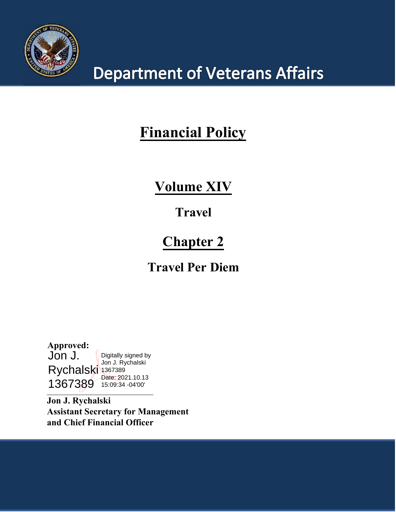

# **Department of Veterans Affairs**

## **Financial Policy**

## **Volume XIV**

## **Travel**

## **Chapter 2**

## **Travel Per Diem**

**Approved:** Jon J. Rychalski 1367389 1367389 15:09:34 -04'00'Digitally signed by Jon J. Rychalski Date: 2021.10.13

**\_\_\_\_\_\_\_\_\_\_\_\_\_\_\_\_\_\_\_\_\_\_\_\_\_\_\_\_\_\_\_\_\_\_\_\_\_\_\_\_\_**

**Jon J. Rychalski Assistant Secretary for Management and Chief Financial Officer**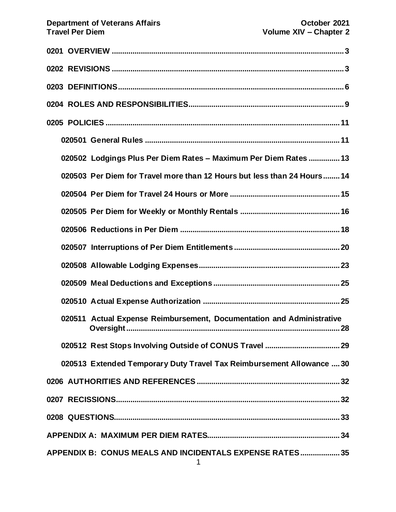| 020502 Lodgings Plus Per Diem Rates - Maximum Per Diem Rates  13        |
|-------------------------------------------------------------------------|
| 020503 Per Diem for Travel more than 12 Hours but less than 24 Hours 14 |
|                                                                         |
|                                                                         |
|                                                                         |
|                                                                         |
|                                                                         |
|                                                                         |
|                                                                         |
| 020511 Actual Expense Reimbursement, Documentation and Administrative   |
|                                                                         |
| 020513 Extended Temporary Duty Travel Tax Reimbursement Allowance  30   |
|                                                                         |
|                                                                         |
|                                                                         |
|                                                                         |
| APPENDIX B: CONUS MEALS AND INCIDENTALS EXPENSE RATES 35                |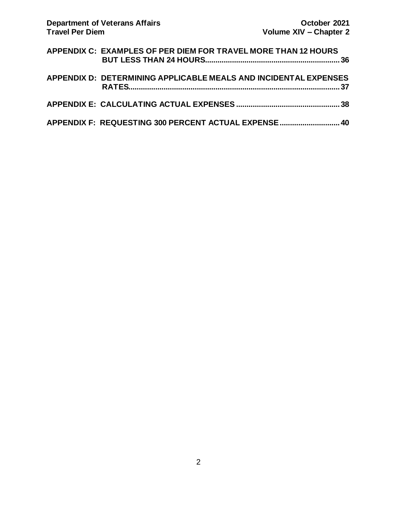| APPENDIX C: EXAMPLES OF PER DIEM FOR TRAVEL MORE THAN 12 HOURS   |  |
|------------------------------------------------------------------|--|
| APPENDIX D: DETERMINING APPLICABLE MEALS AND INCIDENTAL EXPENSES |  |
|                                                                  |  |
| APPENDIX F: REQUESTING 300 PERCENT ACTUAL EXPENSE  40            |  |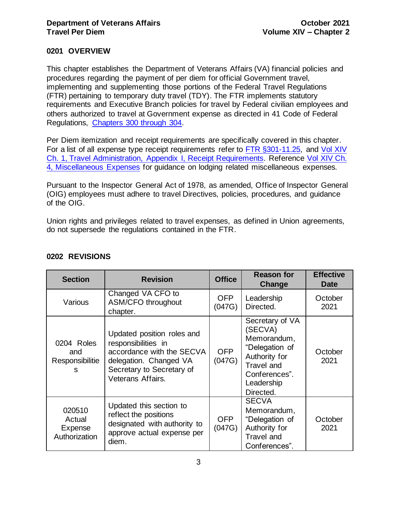## <span id="page-3-0"></span>**0201 OVERVIEW**

This chapter establishes the Department of Veterans Affairs (VA) financial policies and procedures regarding the payment of per diem for official Government travel, implementing and supplementing those portions of the Federal Travel Regulations (FTR) pertaining to temporary duty travel (TDY). The FTR implements statutory requirements and Executive Branch policies for travel by Federal civilian employees and others authorized to travel at Government expense as directed in 41 Code of Federal Regulations, [Chapters 300 through 304.](https://www.gsa.gov/portal/category/21222)

Per Diem itemization and receipt requirements are specifically covered in this chapter. For a list of all expense type receipt requirements refer to [FTR §301-11.25,](http://www.gsa.gov/portal/ext/public/site/FTR/file/Chapter301p011.html/category/21868/) and [Vol XIV](http://www.va.gov/finance/docs/VA-FinancialPolicyVolumeXIVChapter01.pdf)  [Ch. 1, Travel Administration, Appendix I, Receipt Requirements.](http://www.va.gov/finance/docs/VA-FinancialPolicyVolumeXIVChapter01.pdf) Reference [Vol XIV Ch.](https://www.va.gov/finance/docs/VA-FinancialPolicyVolumeXIVChapter04.pdf)  [4, Miscellaneous Expenses](https://www.va.gov/finance/docs/VA-FinancialPolicyVolumeXIVChapter04.pdf) for guidance on lodging related miscellaneous expenses.

Pursuant to the Inspector General Act of 1978, as amended, Office of Inspector General (OIG) employees must adhere to travel Directives, policies, procedures, and guidance of the OIG.

Union rights and privileges related to travel expenses, as defined in Union agreements, do not supersede the regulations contained in the FTR.

| <b>Section</b>                                      | <b>Revision</b>                                                                                                                                            | <b>Office</b>        | <b>Reason for</b><br>Change                                                                                                                   | <b>Effective</b><br><b>Date</b> |
|-----------------------------------------------------|------------------------------------------------------------------------------------------------------------------------------------------------------------|----------------------|-----------------------------------------------------------------------------------------------------------------------------------------------|---------------------------------|
| Various                                             | Changed VA CFO to<br><b>ASM/CFO throughout</b><br>chapter.                                                                                                 | OFP<br>(047G)        | Leadership<br>Directed.                                                                                                                       | October<br>2021                 |
| 0204 Roles<br>and<br>Responsibilitie<br>S           | Updated position roles and<br>responsibilities in<br>accordance with the SECVA<br>delegation. Changed VA<br>Secretary to Secretary of<br>Veterans Affairs. | <b>OFP</b><br>(047G) | Secretary of VA<br>(SECVA)<br>Memorandum,<br>"Delegation of<br>Authority for<br><b>Travel and</b><br>Conferences".<br>Leadership<br>Directed. | October<br>2021                 |
| 020510<br>Actual<br><b>Expense</b><br>Authorization | Updated this section to<br>reflect the positions<br>designated with authority to<br>approve actual expense per<br>diem.                                    | OFP<br>(047G)        | <b>SECVA</b><br>Memorandum,<br>"Delegation of<br>Authority for<br><b>Travel and</b><br>Conferences".                                          | October<br>2021                 |

## <span id="page-3-1"></span>**0202 REVISIONS**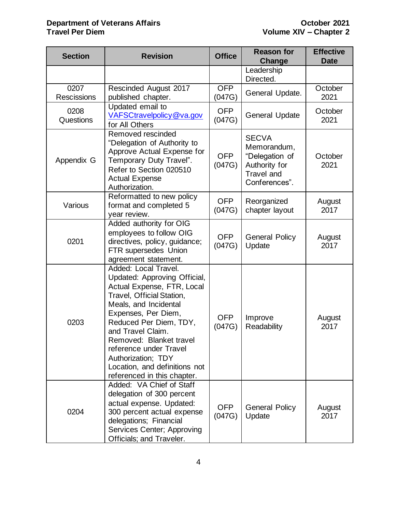#### **Department of Veterans Affairs CELL 2021 October 2021 Travel Per Diem Volume XIV – Chapter 2**

| <b>Section</b>      | <b>Revision</b>                                                                                                                                                                                                                                                                                                                                           | <b>Office</b>                                                                                                                | <b>Reason for</b><br>Change     | <b>Effective</b><br><b>Date</b> |
|---------------------|-----------------------------------------------------------------------------------------------------------------------------------------------------------------------------------------------------------------------------------------------------------------------------------------------------------------------------------------------------------|------------------------------------------------------------------------------------------------------------------------------|---------------------------------|---------------------------------|
|                     |                                                                                                                                                                                                                                                                                                                                                           |                                                                                                                              | Leadership<br>Directed.         |                                 |
| 0207<br>Rescissions | <b>Rescinded August 2017</b><br>published chapter.                                                                                                                                                                                                                                                                                                        | <b>OFP</b><br>(047G)                                                                                                         | General Update.                 | October<br>2021                 |
| 0208<br>Questions   | Updated email to<br>VAFSCtravelpolicy@va.gov<br>for All Others                                                                                                                                                                                                                                                                                            | <b>OFP</b><br>(047G)                                                                                                         | <b>General Update</b>           | October<br>2021                 |
| Appendix G          | Removed rescinded<br>"Delegation of Authority to<br>Approve Actual Expense for<br>Temporary Duty Travel".<br>Refer to Section 020510<br><b>Actual Expense</b><br>Authorization.                                                                                                                                                                           | <b>SECVA</b><br>Memorandum,<br><b>OFP</b><br>"Delegation of<br>(047G)<br>Authority for<br><b>Travel and</b><br>Conferences". |                                 | October<br>2021                 |
| Various             | Reformatted to new policy<br>format and completed 5<br>year review.                                                                                                                                                                                                                                                                                       | <b>OFP</b><br>(047G)                                                                                                         | Reorganized<br>chapter layout   | August<br>2017                  |
| 0201                | Added authority for OIG<br>employees to follow OIG<br>directives, policy, guidance;<br>FTR supersedes Union<br>agreement statement.                                                                                                                                                                                                                       | <b>OFP</b><br>(047G)                                                                                                         | <b>General Policy</b><br>Update | August<br>2017                  |
| 0203                | Added: Local Travel.<br>Updated: Approving Official,<br>Actual Expense, FTR, Local<br>Travel, Official Station,<br>Meals, and Incidental<br>Expenses, Per Diem,<br>Reduced Per Diem, TDY,<br>and Travel Claim.<br>Removed: Blanket travel<br>reference under Travel<br>Authorization; TDY<br>Location, and definitions not<br>referenced in this chapter. | <b>OFP</b><br>(047G)                                                                                                         | Improve<br>Readability          | August<br>2017                  |
| 0204                | Added: VA Chief of Staff<br>delegation of 300 percent<br>actual expense. Updated:<br>300 percent actual expense<br>delegations; Financial<br>Services Center; Approving<br>Officials; and Traveler.                                                                                                                                                       | <b>OFP</b><br>(047G)                                                                                                         | <b>General Policy</b><br>Update | August<br>2017                  |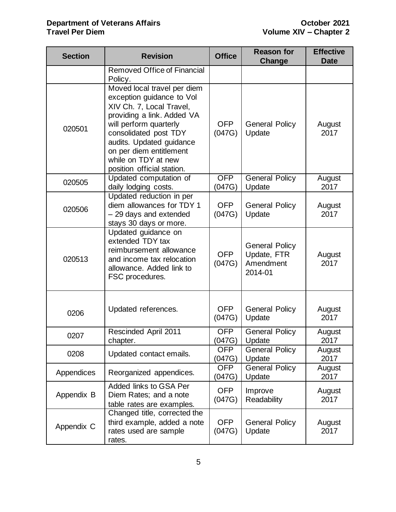#### **Department of Veterans Affairs CELL 2021 October 2021 Travel Per Diem Volume XIV – Chapter 2**

| <b>Section</b>                                                                              | <b>Revision</b><br><b>Office</b>                                                                                                                                                                                                                                                  |                      | <b>Reason for</b><br><b>Change</b>                           | <b>Effective</b><br><b>Date</b> |
|---------------------------------------------------------------------------------------------|-----------------------------------------------------------------------------------------------------------------------------------------------------------------------------------------------------------------------------------------------------------------------------------|----------------------|--------------------------------------------------------------|---------------------------------|
|                                                                                             | <b>Removed Office of Financial</b><br>Policy.                                                                                                                                                                                                                                     |                      |                                                              |                                 |
| 020501                                                                                      | Moved local travel per diem<br>exception guidance to Vol<br>XIV Ch. 7, Local Travel,<br>providing a link. Added VA<br>will perform quarterly<br>consolidated post TDY<br>audits. Updated guidance<br>on per diem entitlement<br>while on TDY at new<br>position official station. | <b>OFP</b><br>(047G) | <b>General Policy</b><br>Update                              | August<br>2017                  |
| 020505                                                                                      | Updated computation of<br>daily lodging costs.                                                                                                                                                                                                                                    | <b>OFP</b><br>(047G) | <b>General Policy</b><br>Update                              | August<br>2017                  |
| 020506                                                                                      | Updated reduction in per<br>diem allowances for TDY 1<br>- 29 days and extended<br>stays 30 days or more.                                                                                                                                                                         | <b>OFP</b><br>(047G) | <b>General Policy</b><br>Update                              | August<br>2017                  |
| 020513                                                                                      | Updated guidance on<br>extended TDY tax<br>reimbursement allowance<br>and income tax relocation<br>allowance. Added link to<br>FSC procedures.                                                                                                                                    |                      | <b>General Policy</b><br>Update, FTR<br>Amendment<br>2014-01 | August<br>2017                  |
| 0206                                                                                        | Updated references.                                                                                                                                                                                                                                                               | <b>OFP</b><br>(047G) | <b>General Policy</b><br>Update                              | August<br>2017                  |
| 0207                                                                                        | <b>Rescinded April 2011</b><br>chapter.                                                                                                                                                                                                                                           | <b>OFP</b><br>(047G) | <b>General Policy</b><br>Update                              | August<br>2017                  |
| 0208                                                                                        | Updated contact emails.                                                                                                                                                                                                                                                           | <b>OFP</b><br>(047G) | <b>General Policy</b><br>Update                              | August<br>2017                  |
| Appendices                                                                                  | Reorganized appendices.                                                                                                                                                                                                                                                           | <b>OFP</b><br>(047G) | <b>General Policy</b><br>Update                              | August<br>2017                  |
| Added links to GSA Per<br>Appendix B<br>Diem Rates; and a note<br>table rates are examples. |                                                                                                                                                                                                                                                                                   | <b>OFP</b><br>(047G) | Improve<br>Readability                                       | August<br>2017                  |
| Appendix C                                                                                  | Changed title, corrected the<br>third example, added a note<br>rates used are sample<br>rates.                                                                                                                                                                                    |                      | <b>General Policy</b><br>Update                              | August<br>2017                  |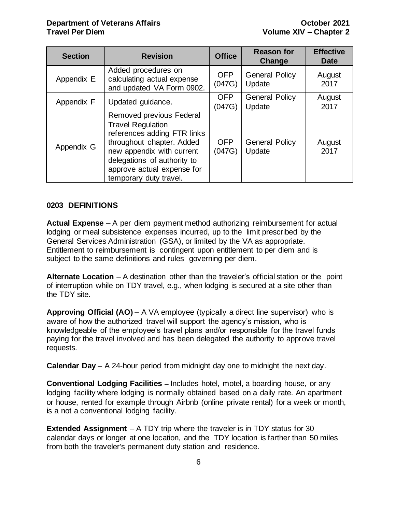| <b>Section</b> | <b>Revision</b>                                                                                                                                                                                                                      | <b>Office</b>        | <b>Reason for</b><br>Change     | <b>Effective</b><br><b>Date</b> |
|----------------|--------------------------------------------------------------------------------------------------------------------------------------------------------------------------------------------------------------------------------------|----------------------|---------------------------------|---------------------------------|
| Appendix E     | Added procedures on<br>calculating actual expense<br>and updated VA Form 0902.                                                                                                                                                       | <b>OFP</b><br>(047G) | <b>General Policy</b><br>Update | August<br>2017                  |
| Appendix F     | Updated guidance.                                                                                                                                                                                                                    | <b>OFP</b><br>(047G) | <b>General Policy</b><br>Update | August<br>2017                  |
| Appendix G     | Removed previous Federal<br><b>Travel Regulation</b><br>references adding FTR links<br>throughout chapter. Added<br>new appendix with current<br>delegations of authority to<br>approve actual expense for<br>temporary duty travel. | <b>OFP</b><br>(047G) | <b>General Policy</b><br>Update | August<br>2017                  |

## <span id="page-6-0"></span>**0203 DEFINITIONS**

**Actual Expense** – A per diem payment method authorizing reimbursement for actual lodging or meal subsistence expenses incurred, up to the limit prescribed by the General Services Administration (GSA), or limited by the VA as appropriate. Entitlement to reimbursement is contingent upon entitlement to per diem and is subject to the same definitions and rules governing per diem.

**Alternate Location** – A destination other than the traveler's official station or the point of interruption while on TDY travel, e.g., when lodging is secured at a site other than the TDY site.

**Approving Official (AO)** – A VA employee (typically a direct line supervisor) who is aware of how the authorized travel will support the agency's mission, who is knowledgeable of the employee's travel plans and/or responsible for the travel funds paying for the travel involved and has been delegated the authority to approve travel requests.

**Calendar Day** – A 24-hour period from midnight day one to midnight the next day.

**Conventional Lodging Facilities** – Includes hotel, motel, a boarding house, or any lodging facility where lodging is normally obtained based on a daily rate. An apartment or house, rented for example through Airbnb (online private rental) for a week or month, is a not a conventional lodging facility.

**Extended Assignment** – A TDY trip where the traveler is in TDY status for 30 calendar days or longer at one location, and the TDY location is farther than 50 miles from both the traveler's permanent duty station and residence.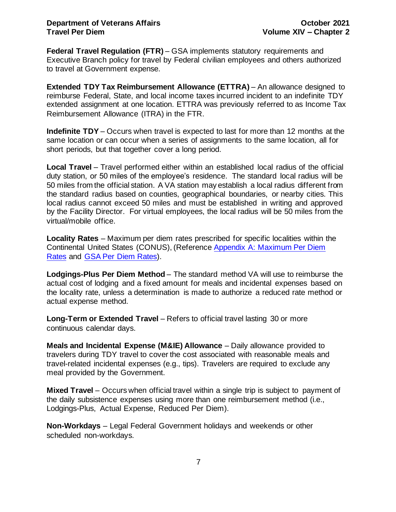**Federal Travel Regulation (FTR)** – GSA implements statutory requirements and Executive Branch policy for travel by Federal civilian employees and others authorized to travel at Government expense.

**Extended TDY Tax Reimbursement Allowance (ETTRA)** – An allowance designed to reimburse Federal, State, and local income taxes incurred incident to an indefinite TDY extended assignment at one location. ETTRA was previously referred to as Income Tax Reimbursement Allowance (ITRA) in the FTR.

**Indefinite TDY** – Occurs when travel is expected to last for more than 12 months at the same location or can occur when a series of assignments to the same location, all for short periods, but that together cover a long period.

**Local Travel** – Travel performed either within an established local radius of the official duty station, or 50 miles of the employee's residence. The standard local radius will be 50 miles from the official station. A VA station may establish a local radius different from the standard radius based on counties, geographical boundaries, or nearby cities. This local radius cannot exceed 50 miles and must be established in writing and approved by the Facility Director. For virtual employees, the local radius will be 50 miles from the virtual/mobile office.

**Locality Rates** – Maximum per diem rates prescribed for specific localities within the Continental United States (CONUS), (Reference [Appendix A: Maximum Per Diem](#page-34-0)  [Rates](#page-34-0) and [GSA Per Diem Rates\)](https://www.gsa.gov/portal/category/100120).

**Lodgings-Plus Per Diem Method** – The standard method VA will use to reimburse the actual cost of lodging and a fixed amount for meals and incidental expenses based on the locality rate, unless a determination is made to authorize a reduced rate method or actual expense method.

**Long-Term or Extended Travel** – Refers to official travel lasting 30 or more continuous calendar days.

**Meals and Incidental Expense (M&IE) Allowance** – Daily allowance provided to travelers during TDY travel to cover the cost associated with reasonable meals and travel-related incidental expenses (e.g., tips). Travelers are required to exclude any meal provided by the Government.

**Mixed Travel** – Occurs when official travel within a single trip is subject to payment of the daily subsistence expenses using more than one reimbursement method (i.e., Lodgings-Plus, Actual Expense, Reduced Per Diem).

**Non-Workdays** – Legal Federal Government holidays and weekends or other scheduled non-workdays.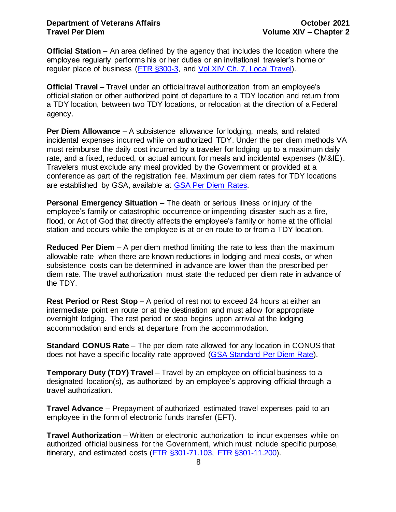**Official Station** – An area defined by the agency that includes the location where the employee regularly performs his or her duties or an invitational traveler's home or regular place of business [\(FTR §300-3,](https://www.gsa.gov/portal/ext/public/site/FTR/file/Chapter300p003.html/category/21867/) and Vol XIV Ch. [7, Local Travel\)](http://www.va.gov/finance/docs/VA-FinancialPolicyVolumeXIVChapter07.pdf).

**Official Travel** – Travel under an official travel authorization from an employee's official station or other authorized point of departure to a TDY location and return from a TDY location, between two TDY locations, or relocation at the direction of a Federal agency.

**Per Diem Allowance** – A subsistence allowance for lodging, meals, and related incidental expenses incurred while on authorized TDY. Under the per diem methods VA must reimburse the daily cost incurred by a traveler for lodging up to a maximum daily rate, and a fixed, reduced, or actual amount for meals and incidental expenses (M&IE). Travelers must exclude any meal provided by the Government or provided at a conference as part of the registration fee. Maximum per diem rates for TDY locations are established by GSA, available at [GSA Per Diem Rates.](https://www.gsa.gov/portal/category/100120)

**Personal Emergency Situation** – The death or serious illness or injury of the employee's family or catastrophic occurrence or impending disaster such as a fire, flood, or Act of God that directly affects the employee's family or home at the official station and occurs while the employee is at or en route to or from a TDY location.

**Reduced Per Diem** – A per diem method limiting the rate to less than the maximum allowable rate when there are known reductions in lodging and meal costs, or when subsistence costs can be determined in advance are lower than the prescribed per diem rate. The travel authorization must state the reduced per diem rate in advance of the TDY.

**Rest Period or Rest Stop** – A period of rest not to exceed 24 hours at either an intermediate point en route or at the destination and must allow for appropriate overnight lodging. The rest period or stop begins upon arrival at the lodging accommodation and ends at departure from the accommodation.

**Standard CONUS Rate** – The per diem rate allowed for any location in CONUS that does not have a specific locality rate approved [\(GSA Standard Per Diem Rate\)](http://www.gsa.gov/portal/content/142071).

**Temporary Duty (TDY) Travel** – Travel by an employee on official business to a designated location(s), as authorized by an employee's approving official through a travel authorization.

**Travel Advance** – Prepayment of authorized estimated travel expenses paid to an employee in the form of electronic funds transfer (EFT).

**Travel Authorization** – Written or electronic authorization to incur expenses while on authorized official business for the Government, which must include specific purpose, itinerary, and estimated costs [\(FTR §301-71.103,](http://www.gsa.gov/portal/ext/public/site/FTR/file/Chapter301p071.html/category/21868/) [FTR §301-11.200\).](http://www.gsa.gov/portal/ext/public/site/FTR/file/Chapter301p011.html/category/21868/)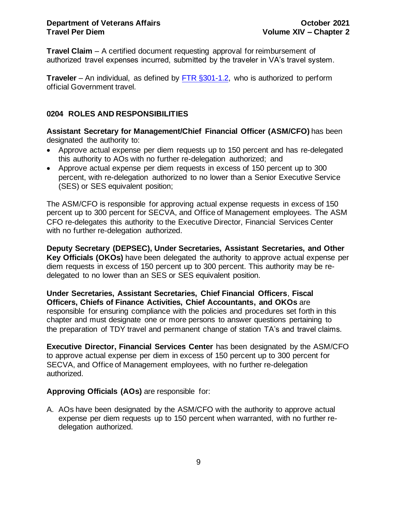**Travel Claim** – A certified document requesting approval for reimbursement of authorized travel expenses incurred, submitted by the traveler in VA's travel system.

**Traveler** – An individual, as defined by [FTR §301-1.2,](http://www.gsa.gov/portal/ext/public/site/FTR/file/Chapter301p001.html/category/21868/) who is authorized to perform official Government travel.

## <span id="page-9-0"></span>**0204 ROLES AND RESPONSIBILITIES**

**Assistant Secretary for Management/Chief Financial Officer (ASM/CFO)** has been designated the authority to:

- Approve actual expense per diem requests up to 150 percent and has re-delegated this authority to AOs with no further re-delegation authorized; and
- Approve actual expense per diem requests in excess of 150 percent up to 300 percent, with re-delegation authorized to no lower than a Senior Executive Service (SES) or SES equivalent position;

The ASM/CFO is responsible for approving actual expense requests in excess of 150 percent up to 300 percent for SECVA, and Office of Management employees. The ASM CFO re-delegates this authority to the Executive Director, Financial Services Center with no further re-delegation authorized.

**Deputy Secretary (DEPSEC), Under Secretaries, Assistant Secretaries, and Other Key Officials (OKOs)** have been delegated the authority to approve actual expense per diem requests in excess of 150 percent up to 300 percent. This authority may be redelegated to no lower than an SES or SES equivalent position.

**Under Secretaries, Assistant Secretaries, Chief Financial Officers**, **Fiscal Officers, Chiefs of Finance Activities, Chief Accountants, and OKOs** are responsible for ensuring compliance with the policies and procedures set forth in this chapter and must designate one or more persons to answer questions pertaining to the preparation of TDY travel and permanent change of station TA's and travel claims.

**Executive Director, Financial Services Center** has been designated by the ASM/CFO to approve actual expense per diem in excess of 150 percent up to 300 percent for SECVA, and Office of Management employees, with no further re-delegation authorized.

## **Approving Officials (AOs)** are responsible for:

A. AOs have been designated by the ASM/CFO with the authority to approve actual expense per diem requests up to 150 percent when warranted, with no further redelegation authorized.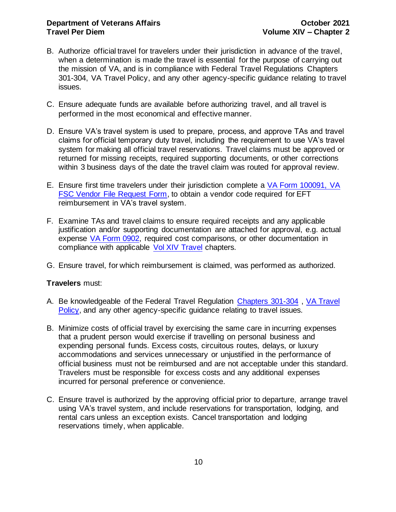### **Department of Veterans Affairs CELL 2021 Travel Per Diem Volume XIV – Chapter 2**

- B. Authorize official travel for travelers under their jurisdiction in advance of the travel, when a determination is made the travel is essential for the purpose of carrying out the mission of VA, and is in compliance with Federal Travel Regulations [Chapters](http://www.gsa.gov/portal/category/21222) [301-304,](http://www.gsa.gov/portal/category/21222) [VA Travel Policy,](https://www.va.gov/finance/policy/pubs/volumeXIV.asp) and any other agency-specific guidance relating to travel issues.
- C. Ensure adequate funds are available before authorizing travel, and all travel is performed in the most economical and effective manner.
- D. Ensure VA's travel system is used to prepare, process, and approve TAs and travel claims for official temporary duty travel, including the requirement to use VA's travel system for making all official travel reservations. Travel claims must be approved or returned for missing receipts, required supporting documents, or other corrections within 3 business days of the date the travel claim was routed for approval review.
- E. Ensure first time travelers under their jurisdiction complete a [VA Form 100091, VA](http://vaww.va.gov/vaforms/va/pdf/VA10091.pdf)  [FSC Vendor File Request Form,](http://vaww.va.gov/vaforms/va/pdf/VA10091.pdf) to obtain a vendor code required for EFT reimbursement in VA's travel system.
- F. Examine TAs and travel claims to ensure required receipts and any applicable justification and/or supporting documentation are attached for approval, e.g. actual expense [VA Form 0902,](http://vaww.va.gov/vaforms/va/pdf/VA0902.pdf) required cost comparisons, or other documentation in compliance with applicable [Vol XIV Travel](https://www.va.gov/finance/policy/pubs/volumeXIV.asp) chapters.
- G. Ensure travel, for which reimbursement is claimed, was performed as authorized.

## **Travelers** must:

- A. Be knowledgeable of the Federal Travel Regulation [Chapters 301-304](http://www.gsa.gov/portal/category/21222) , [VA Travel](https://www.va.gov/finance/policy/pubs/volumeXIV.asp)  [Policy,](https://www.va.gov/finance/policy/pubs/volumeXIV.asp) and any other agency-specific guidance relating to travel issues.
- B. Minimize costs of official travel by exercising the same care in incurring expenses that a prudent person would exercise if travelling on personal business and expending personal funds. Excess costs, circuitous routes, delays, or luxury accommodations and services unnecessary or unjustified in the performance of official business must not be reimbursed and are not acceptable under this standard. Travelers must be responsible for excess costs and any additional expenses incurred for personal preference or convenience.
- C. Ensure travel is authorized by the approving official prior to departure, arrange travel using VA's travel system, and include reservations for transportation, lodging, and rental cars unless an exception exists. Cancel transportation and lodging reservations timely, when applicable.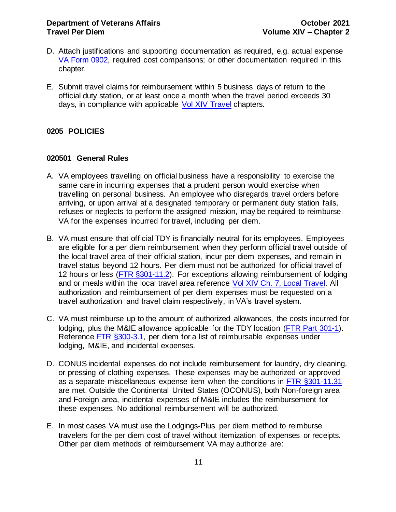- D. Attach justifications and supporting documentation as required, e.g. actual expense [VA Form 0902,](http://vaww.va.gov/vaforms/va/pdf/VA0902.pdf) required cost comparisons; or other documentation required in this chapter.
- E. Submit travel claims for reimbursement within 5 business days of return to the official duty station, or at least once a month when the travel period exceeds 30 days, in compliance with applicable [Vol XIV Travel](https://www.va.gov/finance/policy/pubs/volumeXIV.asp) chapters.

## <span id="page-11-0"></span>**0205 POLICIES**

#### <span id="page-11-1"></span>**020501 General Rules**

- A. VA employees travelling on official business have a responsibility to exercise the same care in incurring expenses that a prudent person would exercise when travelling on personal business. An employee who disregards travel orders before arriving, or upon arrival at a designated temporary or permanent duty station fails, refuses or neglects to perform the assigned mission, may be required to reimburse VA for the expenses incurred for travel, including per diem.
- B. VA must ensure that official TDY is financially neutral for its employees. Employees are eligible for a per diem reimbursement when they perform official travel outside of the local travel area of their official station, incur per diem expenses, and remain in travel status beyond 12 hours. Per diem must not be authorized for official travel of 12 hours or less [\(FTR §301-11.2\).](http://www.gsa.gov/portal/ext/public/site/FTR/file/Chapter301p011.html/category/21868/) For exceptions allowing reimbursement of lodging and or meals within the local travel area reference [Vol XIV Ch. 7, Local Travel.](http://www.va.gov/finance/docs/VA-FinancialPolicyVolumeXIVChapter07.pdf) All authorization and reimbursement of per diem expenses must be requested on a travel authorization and travel claim respectively, in VA's travel system.
- C. VA must reimburse up to the amount of authorized allowances, the costs incurred for lodging, plus the M&IE allowance applicable for the TDY location [\(FTR Part 301-1\)](https://www.gsa.gov/portal/ext/public/site/FTR/file/Chapter301p001.html/category/21868/). Reference [FTR §300-3.1,](http://www.gsa.gov/portal/ext/public/site/FTR/file/Chapter300p003.html/category/21867/) per diem for a list of reimbursable expenses under lodging, M&IE, and incidental expenses.
- D. CONUS incidental expenses do not include reimbursement for laundry, dry cleaning, or pressing of clothing expenses. These expenses may be authorized or approved as a separate miscellaneous expense item when the conditions in [FTR §301-11.31](http://www.gsa.gov/portal/ext/public/site/FTR/file/Chapter301p011.html/category/21868/) are met. Outside the Continental United States (OCONUS), both Non-foreign area and Foreign area, incidental expenses of M&IE includes the reimbursement for these expenses. No additional reimbursement will be authorized.
- E. In most cases VA must use the Lodgings-Plus per diem method to reimburse travelers for the per diem cost of travel without itemization of expenses or receipts. Other per diem methods of reimbursement VA may authorize are: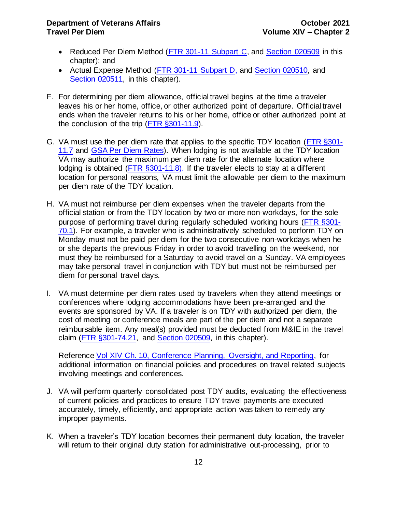- Reduced Per Diem Method [\(FTR 301-11 Subpart C,](http://www.gsa.gov/portal/ext/public/site/FTR/file/Chapter301p011.html/category/21868/) and [Section 020509](#page-25-0) in this chapter); and
- Actual Expense Method [\(FTR 301-11 Subpart D,](http://www.gsa.gov/portal/ext/public/site/FTR/file/Chapter301p011.html/category/21868/) and [Section 020510,](#page-25-1) and Section 020511, in this chapter).
- F. For determining per diem allowance, official travel begins at the time a traveler leaves his or her home, office, or other authorized point of departure. Official travel ends when the traveler returns to his or her home, office or other authorized point at the conclusion of the trip [\(FTR §301-11.9\)](http://www.gsa.gov/portal/ext/public/site/FTR/file/Chapter301p011.html/category/21868/).
- G. VA must use the per diem rate that applies to the specific TDY location [\(FTR §301-](http://www.gsa.gov/portal/ext/public/site/FTR/file/Chapter301p011.html/category/21868/) [11.7](http://www.gsa.gov/portal/ext/public/site/FTR/file/Chapter301p011.html/category/21868/) and [GSA Per Diem Rates\)](https://www.gsa.gov/portal/category/100120). When lodging is not available at the TDY location VA may authorize the maximum per diem rate for the alternate location where lodging is obtained [\(FTR §301-11.8\)](http://www.gsa.gov/portal/ext/public/site/FTR/file/Chapter301p011.html/category/21868/). If the traveler elects to stay at a different location for personal reasons, VA must limit the allowable per diem to the maximum per diem rate of the TDY location.
- H. VA must not reimburse per diem expenses when the traveler departs from the official station or from the TDY location by two or more non-workdays, for the sole purpose of performing travel during regularly scheduled working hours [\(FTR §301-](http://www.gsa.gov/portal/ext/public/site/FTR/file/Chapter301p070.html/category/21868/) [70.1\)](http://www.gsa.gov/portal/ext/public/site/FTR/file/Chapter301p070.html/category/21868/). For example, a traveler who is administratively scheduled to perform TDY on Monday must not be paid per diem for the two consecutive non-workdays when he or she departs the previous Friday in order to avoid travelling on the weekend, nor must they be reimbursed for a Saturday to avoid travel on a Sunday. VA employees may take personal travel in conjunction with TDY but must not be reimbursed per diem for personal travel days.
- I. VA must determine per diem rates used by travelers when they attend meetings or conferences where lodging accommodations have been pre-arranged and the events are sponsored by VA. If a traveler is on TDY with authorized per diem, the cost of meeting or conference meals are part of the per diem and not a separate reimbursable item. Any meal(s) provided must be deducted from M&IE in the travel claim [\(FTR §301-74.21,](http://www.gsa.gov/portal/ext/public/site/FTR/file/Chapter301p074.html/category/21868/) and [Section 020509,](#page-25-0) in this chapter).

Reference [Vol XIV Ch. 10, Conference Planning, Oversight, and Reporting,](http://www.va.gov/finance/docs/VA-FinancialPolicyVolumeXIVChapter10.pdf) for additional information on financial policies and procedures on travel related subjects involving meetings and conferences.

- J. VA will perform quarterly consolidated post TDY audits, evaluating the effectiveness of current policies and practices to ensure TDY travel payments are executed accurately, timely, efficiently, and appropriate action was taken to remedy any improper payments.
- K. When a traveler's TDY location becomes their permanent duty location, the traveler will return to their original duty station for administrative out-processing, prior to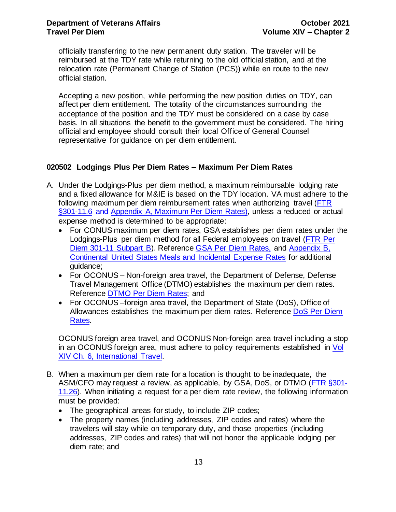officially transferring to the new permanent duty station. The traveler will be reimbursed at the TDY rate while returning to the old official station, and at the relocation rate (Permanent Change of Station (PCS)) while en route to the new official station.

Accepting a new position, while performing the new position duties on TDY, can affect per diem entitlement. The totality of the circumstances surrounding the acceptance of the position and the TDY must be considered on a case by case basis. In all situations the benefit to the government must be considered. The hiring official and employee should consult their local Office of General Counsel representative for guidance on per diem entitlement.

## <span id="page-13-0"></span>**020502 Lodgings Plus Per Diem Rates – Maximum Per Diem Rates**

- <span id="page-13-1"></span>A. Under the Lodgings-Plus per diem method, a maximum reimbursable lodging rate and a fixed allowance for M&IE is based on the TDY location. VA must adhere to the following maximum per diem reimbursement rates when authorizing travel [\(FTR](http://www.gsa.gov/portal/ext/public/site/FTR/file/Chapter301p011.html/category/21868/)  [§301-11.6](http://www.gsa.gov/portal/ext/public/site/FTR/file/Chapter301p011.html/category/21868/) and [Appendix A, Maximum Per Diem Rates\)](file://///vacofpcc.dva.va.gov/Groups/Financial%20Management/047g/Financial%20Policy/Policy%20Chapters/Vol%20XIV%20-%20Travel/Chapter%202%20-%20Travel%20Per%20Diem/Draft%20-%20Preparation%20for%20047G%20Review/Drafts/HYPERLINK%23_APPENDIX_A:_), unless a reduced or actual expense method is determined to be appropriate:
	- For CONUS maximum per diem rates, GSA establishes per diem rates under the Lodgings-Plus per diem method for all Federal employees on travel [\(FTR Per](http://www.gsa.gov/portal/ext/public/site/FTR/file/Chapter301p011.html/category/21868/)  [Diem 301-11 Subpart B\)](http://www.gsa.gov/portal/ext/public/site/FTR/file/Chapter301p011.html/category/21868/). Reference [GSA Per Diem Rates,](http://www.gsa.gov/portal/category/100120) and Appendix B, [Continental United States Meals and Incidental Expense Rates](#page-35-0) for additional guidance;
	- For OCONUS Non-foreign area travel, the Department of Defense, Defense Travel Management Office (DTMO) establishes the maximum per diem rates. Reference [DTMO Per Diem Rates;](http://www.defensetravel.dod.mil/site/perdiemCalc.cfm) and
	- For OCONUS-foreign area travel, the Department of State (DoS), Office of Allowances establishes the maximum per diem rates. Reference [DoS Per Diem](https://aoprals.state.gov/content.asp?content_id=184&menu_id=78)  [Rates.](https://aoprals.state.gov/content.asp?content_id=184&menu_id=78)

OCONUS foreign area travel, and OCONUS Non-foreign area travel including a stop in an OCONUS foreign area, must adhere to policy requirements established in Vol [XIV Ch. 6, International Travel.](https://www.va.gov/finance/docs/VA-FinancialPolicyVolumeXIVChapter06.pdf)

- B. When a maximum per diem rate for a location is thought to be inadequate, the ASM/CFO may request a review, as applicable, by GSA, DoS, or DTMO [\(FTR §301-](http://www.gsa.gov/portal/ext/public/site/FTR/file/Chapter301p011.html/category/21868/) [11.26\)](http://www.gsa.gov/portal/ext/public/site/FTR/file/Chapter301p011.html/category/21868/). When initiating a request for a per diem rate review, the following information must be provided:
	- The geographical areas for study, to include ZIP codes;
	- The property names (including addresses, ZIP codes and rates) where the travelers will stay while on temporary duty, and those properties (including addresses, ZIP codes and rates) that will not honor the applicable lodging per diem rate; and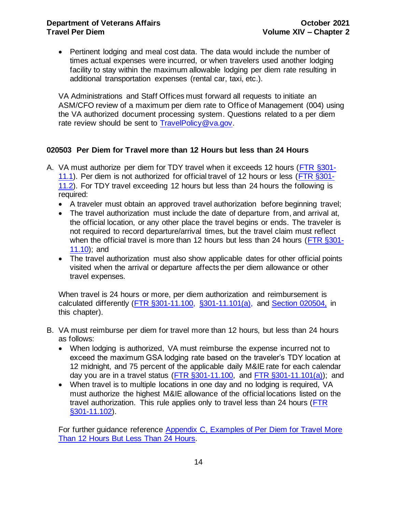## **Department of Veterans Affairs CELL 2021 Travel Per Diem Volume XIV – Chapter 2**

• Pertinent lodging and meal cost data. The data would include the number of times actual expenses were incurred, or when travelers used another lodging facility to stay within the maximum allowable lodging per diem rate resulting in additional transportation expenses (rental car, taxi, etc.).

VA Administrations and Staff Offices must forward all requests to initiate an ASM/CFO review of a maximum per diem rate to Office of Management (004) using the VA authorized document processing system. Questions related to a per diem rate review should be sent to [TravelPolicy@va.gov.](mailto:TravelPolicy@va.gov)

### <span id="page-14-0"></span>**020503 Per Diem for Travel more than 12 Hours but less than 24 Hours**

- A. VA must authorize per diem for TDY travel when it exceeds 12 hours [\(FTR §301-](http://www.gsa.gov/portal/ext/public/site/FTR/file/Chapter301p011.html/category/21868/) [11.1\)](http://www.gsa.gov/portal/ext/public/site/FTR/file/Chapter301p011.html/category/21868/). Per diem is not authorized for official travel of 12 hours or less [\(FTR §301-](http://www.gsa.gov/portal/ext/public/site/FTR/file/Chapter301p011.html/category/21868/) [11.2\)](http://www.gsa.gov/portal/ext/public/site/FTR/file/Chapter301p011.html/category/21868/). For TDY travel exceeding 12 hours but less than 24 hours the following is required:
	- A traveler must obtain an approved travel authorization before beginning travel;
	- The travel authorization must include the date of departure from, and arrival at, the official location, or any other place the travel begins or ends. The traveler is not required to record departure/arrival times, but the travel claim must reflect when the official travel is more than 12 hours but less than 24 hours [\(FTR §301-](http://www.gsa.gov/portal/ext/public/site/FTR/file/Chapter301p011.html/category/21868/) [11.10\)](http://www.gsa.gov/portal/ext/public/site/FTR/file/Chapter301p011.html/category/21868/); and
	- The travel authorization must also show applicable dates for other official points visited when the arrival or departure affects the per diem allowance or other travel expenses.

When travel is 24 hours or more, per diem authorization and reimbursement is calculated differently [\(FTR §301-11.100, §301-11.101\(a\),](http://www.gsa.gov/portal/ext/public/site/FTR/file/Chapter301p011.html/category/21868/) and [Section 020504,](#page-15-0) in this chapter).

- B. VA must reimburse per diem for travel more than 12 hours, but less than 24 hours as follows:
	- When lodging is authorized, VA must reimburse the expense incurred not to exceed the maximum GSA lodging rate based on the traveler's TDY location at 12 midnight, and 75 percent of the applicable daily M&IE rate for each calendar day you are in a travel status ( $\overline{FTR}$   $\S301-11.100$ , and  $\overline{FTR}$   $\S301-11.101(a)$ ); and
	- When travel is to multiple locations in one day and no lodging is required, VA must authorize the highest M&IE allowance of the official locations listed on the travel authorization. This rule applies only to travel less than 24 hours [\(FTR](http://www.gsa.gov/portal/ext/public/site/FTR/file/Chapter301p011.html/category/21868/)  [§301-11.102\).](http://www.gsa.gov/portal/ext/public/site/FTR/file/Chapter301p011.html/category/21868/)

For further guidance reference [Appendix C, Examples of Per Diem for Travel More](#page-36-0)  [Than 12 Hours But Less Than 24 Hours.](#page-36-0)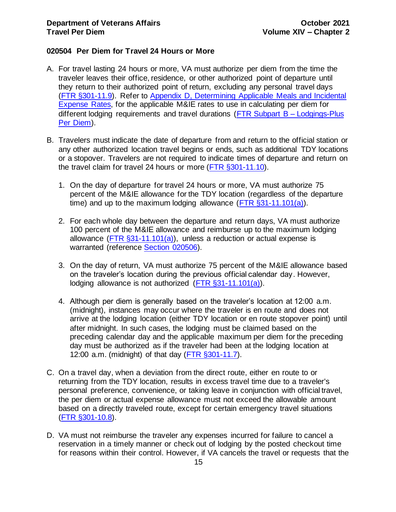## <span id="page-15-0"></span>**020504 Per Diem for Travel 24 Hours or More**

- A. For travel lasting 24 hours or more, VA must authorize per diem from the time the traveler leaves their office, residence, or other authorized point of departure until they return to their authorized point of return, excluding any personal travel days [\(FTR §301-11.9\)](http://www.gsa.gov/portal/ext/public/site/FTR/file/Chapter301p011.html/category/21868/). Refer to [Appendix D, Determining Applicable Meals and Incidental](#page-37-0)  [Expense Rates,](#page-37-0) for the applicable M&IE rates to use in calculating per diem for different lodging requirements and travel durations [\(FTR Subpart B –](http://www.gsa.gov/portal/ext/public/site/FTR/file/Chapter301p011.html/category/21868/) Lodgings-Plus [Per Diem\)](http://www.gsa.gov/portal/ext/public/site/FTR/file/Chapter301p011.html/category/21868/).
- B. Travelers must indicate the date of departure from and return to the official station or any other authorized location travel begins or ends, such as additional TDY locations or a stopover. Travelers are not required to indicate times of departure and return on the travel claim for travel 24 hours or more [\(FTR §301-11.10\)](http://www.gsa.gov/portal/ext/public/site/FTR/file/Chapter301p011.html/category/21868/).
	- 1. On the day of departure for travel 24 hours or more, VA must authorize 75 percent of the M&IE allowance for the TDY location (regardless of the departure time) and up to the maximum lodging allowance ( $\overline{FTR}$  §31-11.101(a)).
	- 2. For each whole day between the departure and return days, VA must authorize 100 percent of the M&IE allowance and reimburse up to the maximum lodging allowance (FTR  $\S 31-11.101(a)$ ), unless a reduction or actual expense is warranted (reference [Section 020506\)](#page-18-0).
	- 3. On the day of return, VA must authorize 75 percent of the M&IE allowance based on the traveler's location during the previous official calendar day. However, lodging allowance is not authorized [\(FTR §31-11.101\(a\)\)](http://www.gsa.gov/portal/ext/public/site/FTR/file/Chapter301p011.html/category/21868/).
	- 4. Although per diem is generally based on the traveler's location at 12:00 a.m. (midnight), instances may occur where the traveler is en route and does not arrive at the lodging location (either TDY location or en route stopover point) until after midnight. In such cases, the lodging must be claimed based on the preceding calendar day and the applicable maximum per diem for the preceding day must be authorized as if the traveler had been at the lodging location at 12:00 a.m. (midnight) of that day [\(FTR §301-11.7\).](http://www.gsa.gov/portal/ext/public/site/FTR/file/Chapter301p011.html/category/21868/)
- C. On a travel day, when a deviation from the direct route, either en route to or returning from the TDY location, results in excess travel time due to a traveler's personal preference, convenience, or taking leave in conjunction with official travel, the per diem or actual expense allowance must not exceed the allowable amount based on a directly traveled route, except for certain emergency travel situations [\(FTR §301-10.8\)](http://www.gsa.gov/portal/ext/public/site/FTR/file/Chapter301p010.html/category/21868/#wp1088772).
- D. VA must not reimburse the traveler any expenses incurred for failure to cancel a reservation in a timely manner or check out of lodging by the posted checkout time for reasons within their control. However, if VA cancels the travel or requests that the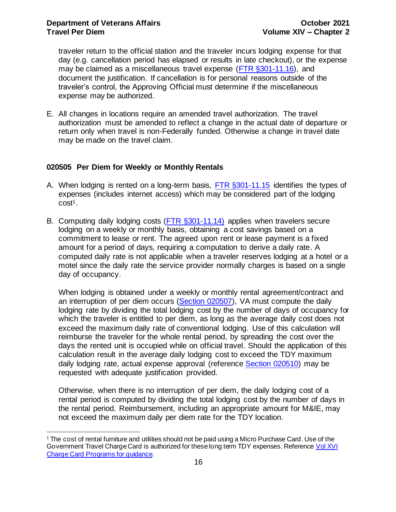traveler return to the official station and the traveler incurs lodging expense for that day (e.g. cancellation period has elapsed or results in late checkout), or the expense may be claimed as a miscellaneous travel expense [\(FTR §301-11.16\)](http://www.gsa.gov/portal/ext/public/site/FTR/file/Chapter301p011.html/category/21868/), and document the justification. If cancellation is for personal reasons outside of the traveler's control, the Approving Official must determine if the miscellaneous expense may be authorized.

E. All changes in locations require an amended travel authorization. The travel authorization must be amended to reflect a change in the actual date of departure or return only when travel is non-Federally funded. Otherwise a change in travel date may be made on the travel claim.

## <span id="page-16-0"></span>**020505 Per Diem for Weekly or Monthly Rentals**

- A. When lodging is rented on a long-term basis, [FTR §301-11.15](http://www.gsa.gov/portal/ext/public/site/FTR/file/Chapter301p011.html/category/21868/) identifies the types of expenses (includes internet access) which may be considered part of the lodging cost<sup>1</sup>.
- B. Computing daily lodging costs [\(FTR §301-11.14\)](http://www.gsa.gov/portal/ext/public/site/FTR/file/Chapter301p011.html/category/21868/) applies when travelers secure lodging on a weekly or monthly basis, obtaining a cost savings based on a commitment to lease or rent. The agreed upon rent or lease payment is a fixed amount for a period of days, requiring a computation to derive a daily rate. A computed daily rate is not applicable when a traveler reserves lodging at a hotel or a motel since the daily rate the service provider normally charges is based on a single day of occupancy.

When lodging is obtained under a weekly or monthly rental agreement/contract and an interruption of per diem occurs (Section 020507), VA must compute the daily lodging rate by dividing the total lodging cost by the number of days of occupancy for which the traveler is entitled to per diem, as long as the average daily cost does not exceed the maximum daily rate of conventional lodging. Use of this calculation will reimburse the traveler for the whole rental period, by spreading the cost over the days the rented unit is occupied while on official travel. Should the application of this calculation result in the average daily lodging cost to exceed the TDY maximum daily lodging rate, actual expense approval (reference [Section 020510\)](#page-25-1) may be requested with adequate justification provided.

Otherwise, when there is no interruption of per diem, the daily lodging cost of a rental period is computed by dividing the total lodging cost by the number of days in the rental period. Reimbursement, including an appropriate amount for M&IE, may not exceed the maximum daily per diem rate for the TDY location.

<sup>1</sup> The cost of rental furniture and utilities should not be paid using a Micro Purchase Card. Use of the Government Travel Charge Card is authorized for these long term TDY expenses. Reference Vol XVI [Charge Card Programs](https://www.va.gov/finance/policy/pubs/volumeXVI.asp) for guidance.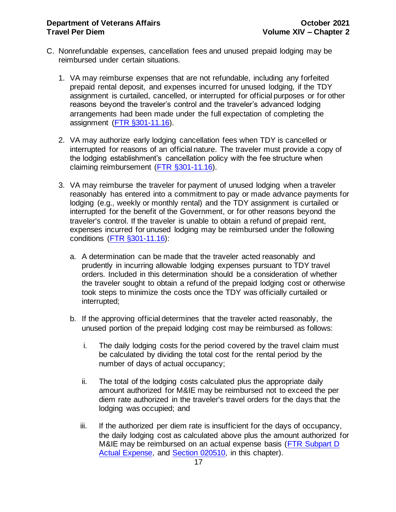- C. Nonrefundable expenses, cancellation fees and unused prepaid lodging may be reimbursed under certain situations.
	- 1. VA may reimburse expenses that are not refundable, including any forfeited prepaid rental deposit, and expenses incurred for unused lodging, if the TDY assignment is curtailed, cancelled, or interrupted for official purposes or for other reasons beyond the traveler's control and the traveler's advanced lodging arrangements had been made under the full expectation of completing the assignment [\(FTR §301-11.16\).](http://www.gsa.gov/portal/ext/public/site/FTR/file/Chapter301p011.html/category/21868/)
	- 2. VA may authorize early lodging cancellation fees when TDY is cancelled or interrupted for reasons of an official nature. The traveler must provide a copy of the lodging establishment's cancellation policy with the fee structure when claiming reimbursement [\(FTR §301-11.16\)](http://www.gsa.gov/portal/ext/public/site/FTR/file/Chapter301p011.html/category/21868/).
	- 3. VA may reimburse the traveler for payment of unused lodging when a traveler reasonably has entered into a commitment to pay or made advance payments for lodging (e.g., weekly or monthly rental) and the TDY assignment is curtailed or interrupted for the benefit of the Government, or for other reasons beyond the traveler's control. If the traveler is unable to obtain a refund of prepaid rent, expenses incurred for unused lodging may be reimbursed under the following conditions [\(FTR §301-11.16\):](http://www.gsa.gov/portal/ext/public/site/FTR/file/Chapter301p011.html/category/21868/)
		- a. A determination can be made that the traveler acted reasonably and prudently in incurring allowable lodging expenses pursuant to TDY travel orders. Included in this determination should be a consideration of whether the traveler sought to obtain a refund of the prepaid lodging cost or otherwise took steps to minimize the costs once the TDY was officially curtailed or interrupted;
		- b. If the approving official determines that the traveler acted reasonably, the unused portion of the prepaid lodging cost may be reimbursed as follows:
			- i. The daily lodging costs for the period covered by the travel claim must be calculated by dividing the total cost for the rental period by the number of days of actual occupancy;
			- ii. The total of the lodging costs calculated plus the appropriate daily amount authorized for M&IE may be reimbursed not to exceed the per diem rate authorized in the traveler's travel orders for the days that the lodging was occupied; and
			- iii. If the authorized per diem rate is insufficient for the days of occupancy, the daily lodging cost as calculated above plus the amount authorized for M&IE may be reimbursed on an actual expense basis (FTR Subpart D) [Actual Expense,](http://www.gsa.gov/portal/ext/public/site/FTR/file/Chapter301p011.html/category/21868/) and [Section 020510,](#page-25-1) in this chapter).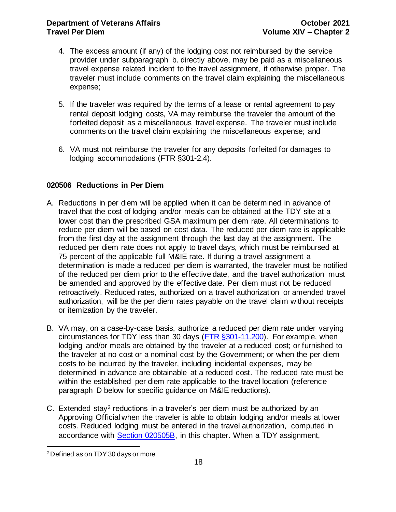- 4. The excess amount (if any) of the lodging cost not reimbursed by the service provider under subparagraph b. directly above, may be paid as a miscellaneous travel expense related incident to the travel assignment, if otherwise proper. The traveler must include comments on the travel claim explaining the miscellaneous expense;
- 5. If the traveler was required by the terms of a lease or rental agreement to pay rental deposit lodging costs, VA may reimburse the traveler the amount of the forfeited deposit as a miscellaneous travel expense. The traveler must include comments on the travel claim explaining the miscellaneous expense; and
- 6. VA must not reimburse the traveler for any deposits forfeited for damages to lodging accommodations [\(FTR §301-2.4\)](http://www.gsa.gov/portal/ext/public/site/FTR/file/Chapter301p002.html/category/21868/).

## <span id="page-18-1"></span><span id="page-18-0"></span>**020506 Reductions in Per Diem**

- A. Reductions in per diem will be applied when it can be determined in advance of travel that the cost of lodging and/or meals can be obtained at the TDY site at a lower cost than the prescribed GSA maximum per diem rate. All determinations to reduce per diem will be based on cost data. The reduced per diem rate is applicable from the first day at the assignment through the last day at the assignment. The reduced per diem rate does not apply to travel days, which must be reimbursed at 75 percent of the applicable full M&IE rate. If during a travel assignment a determination is made a reduced per diem is warranted, the traveler must be notified of the reduced per diem prior to the effective date, and the travel authorization must be amended and approved by the effective date. Per diem must not be reduced retroactively. Reduced rates, authorized on a travel authorization or amended travel authorization, will be the per diem rates payable on the travel claim without receipts or itemization by the traveler.
- B. VA may, on a case-by-case basis, authorize a reduced per diem rate under varying circumstances for TDY less than 30 days [\(FTR §301-11.200\).](http://www.gsa.gov/portal/ext/public/site/FTR/file/Chapter301p011.html/category/21868/) For example, when lodging and/or meals are obtained by the traveler at a reduced cost; or furnished to the traveler at no cost or a nominal cost by the Government; or when the per diem costs to be incurred by the traveler, including incidental expenses, may be determined in advance are obtainable at a reduced cost. The reduced rate must be within the established per diem rate applicable to the travel location (reference paragraph D below for specific guidance on M&IE reductions).
- C. Extended stay<sup>2</sup> reductions in a traveler's per diem must be authorized by an Approving Official when the traveler is able to obtain lodging and/or meals at lower costs. Reduced lodging must be entered in the travel authorization, computed in accordance with [Section 020505B,](#page-18-1) in this chapter. When a TDY assignment,

<sup>2</sup> Defined as on TDY 30 days or more.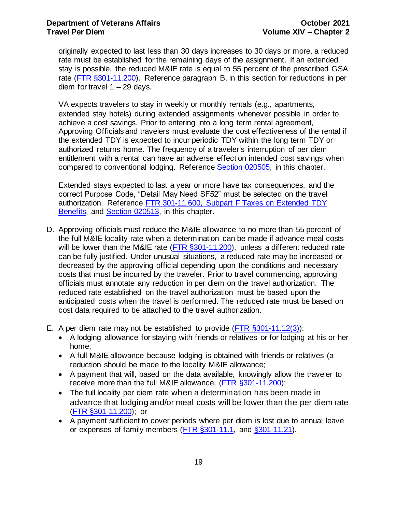originally expected to last less than 30 days increases to 30 days or more, a reduced rate must be established for the remaining days of the assignment. If an extended stay is possible, the reduced M&IE rate is equal to 55 percent of the prescribed GSA rate [\(FTR §301-11.200\).](http://www.gsa.gov/portal/ext/public/site/FTR/file/Chapter301p011.html/category/21868/) Reference paragraph B. in this section for reductions in per diem for travel  $1 - 29$  days.

VA expects travelers to stay in weekly or monthly rentals (e.g., apartments, extended stay hotels) during extended assignments whenever possible in order to achieve a cost savings. Prior to entering into a long term rental agreement, Approving Officials and travelers must evaluate the cost effectiveness of the rental if the extended TDY is expected to incur periodic TDY within the long term TDY or authorized returns home. The frequency of a traveler's interruption of per diem entitlement with a rental can have an adverse effect on intended cost savings when compared to conventional lodging. Reference [Section 020505,](#page-16-0) in this chapter.

Extended stays expected to last a year or more have tax consequences, and the correct Purpose Code, "Detail May Need SF52" must be selected on the travel authorization. Reference [FTR 301-11.600, Subpart F Taxes on Extended TDY](https://www.gsa.gov/portal/ext/public/site/FTR/file/Chapter301p011.html/category/21868/)  [Benefits,](https://www.gsa.gov/portal/ext/public/site/FTR/file/Chapter301p011.html/category/21868/) and [Section 020513,](#page-30-1) in this chapter.

- D. Approving officials must reduce the M&IE allowance to no more than 55 percent of the full M&IE locality rate when a determination can be made if advance meal costs will be lower than the M&IE rate  $($  FTR  $\S$ 301-11.200), unless a different reduced rate can be fully justified. Under unusual situations, a reduced rate may be increased or decreased by the approving official depending upon the conditions and necessary costs that must be incurred by the traveler. Prior to travel commencing, approving officials must annotate any reduction in per diem on the travel authorization. The reduced rate established on the travel authorization must be based upon the anticipated costs when the travel is performed. The reduced rate must be based on cost data required to be attached to the travel authorization.
- E. A per diem rate may not be established to provide [\(FTR §301-11.12\(3\)\)](http://www.gsa.gov/portal/ext/public/site/FTR/file/Chapter301p011.html/category/21868/):
	- A lodging allowance for staying with friends or relatives or for lodging at his or her home;
	- A full M&IE allowance because lodging is obtained with friends or relatives (a reduction should be made to the locality M&IE allowance;
	- A payment that will, based on the data available, knowingly allow the traveler to receive more than the full M&IE allowance, (FTR [§301-11.200\);](http://www.gsa.gov/portal/ext/public/site/FTR/file/Chapter301p011.html/category/21868/)
	- The full locality per diem rate when a determination has been made in advance that lodging and/or meal costs will be lower than the per diem rate [\(FTR §301-11.200\);](http://www.gsa.gov/portal/ext/public/site/FTR/file/Chapter301p011.html/category/21868/) or
	- A payment sufficient to cover periods where per diem is lost due to annual leave or expenses of family members [\(FTR §301-11.1,](http://www.gsa.gov/portal/ext/public/site/FTR/file/Chapter301p011.html/category/21868/) and [§301-11.21\).](http://www.gsa.gov/portal/ext/public/site/FTR/file/Chapter301p011.html/category/21868/)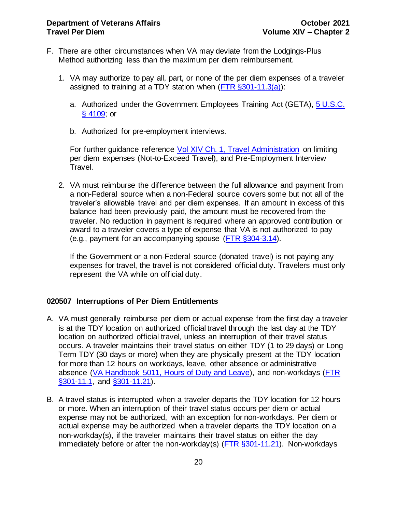- F. There are other circumstances when VA may deviate from the Lodgings-Plus Method authorizing less than the maximum per diem reimbursement.
	- 1. VA may authorize to pay all, part, or none of the per diem expenses of a traveler assigned to training at a TDY station when  $(FTR \$   $301-11.3(a))$ :
		- a. Authorized under the Government Employees Training Act (GETA), [5 U.S.C.](https://www.gpo.gov/fdsys/pkg/USCODE-2011-title5/pdf/USCODE-2011-title5-partIII-subpartC-chap41.pdf)  [§ 4109;](https://www.gpo.gov/fdsys/pkg/USCODE-2011-title5/pdf/USCODE-2011-title5-partIII-subpartC-chap41.pdf) or
		- b. Authorized for pre-employment interviews.

For further guidance reference [Vol XIV Ch. 1, Travel Administration](http://www.va.gov/finance/docs/VA-FinancialPolicyVolumeXIVChapter01.pdf) on limiting per diem expenses (Not-to-Exceed Travel), and Pre-Employment Interview Travel.

2. VA must reimburse the difference between the full allowance and payment from a non-Federal source when a non-Federal source covers some but not all of the traveler's allowable travel and per diem expenses. If an amount in excess of this balance had been previously paid, the amount must be recovered from the traveler. No reduction in payment is required where an approved contribution or award to a traveler covers a type of expense that VA is not authorized to pay (e.g., payment for an accompanying spouse [\(FTR §304-3.14\).](http://www.gsa.gov/portal/ext/public/site/FTR/file/Chapter304p003.html/category/21871/)

If the Government or a non-Federal source (donated travel) is not paying any expenses for travel, the travel is not considered official duty. Travelers must only represent the VA while on official duty.

## <span id="page-20-1"></span><span id="page-20-0"></span>**020507 Interruptions of Per Diem Entitlements**

- A. VA must generally reimburse per diem or actual expense from the first day a traveler is at the TDY location on authorized official travel through the last day at the TDY location on authorized official travel, unless an interruption of their travel status occurs. A traveler maintains their travel status on either TDY (1 to 29 days) or Long Term TDY (30 days or more) when they are physically present at the TDY location for more than 12 hours on workdays, leave, other absence or administrative absence [\(VA Handbook 5011, Hours of Duty and Leave\)](http://vaww.va.gov/OHRM/Directives-Handbooks/Documents/5011.pdf), and non-workdays [\(FTR](http://www.gsa.gov/portal/ext/public/site/FTR/file/Chapter301p011.html/category/21868/)  [§301-11.1,](http://www.gsa.gov/portal/ext/public/site/FTR/file/Chapter301p011.html/category/21868/) and [§301-11.21\)](http://www.gsa.gov/portal/ext/public/site/FTR/file/Chapter301p011.html/category/21868/).
- B. A travel status is interrupted when a traveler departs the TDY location for 12 hours or more. When an interruption of their travel status occurs per diem or actual expense may not be authorized, with an exception for non-workdays. Per diem or actual expense may be authorized when a traveler departs the TDY location on a non-workday(s), if the traveler maintains their travel status on either the day immediately before or after the non-workday(s) (FTR  $\S 301-11.21$ ). Non-workdays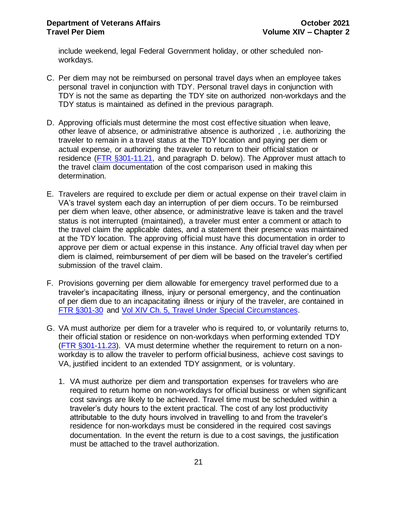include weekend, legal Federal Government holiday, or other scheduled nonworkdays.

- C. Per diem may not be reimbursed on personal travel days when an employee takes personal travel in conjunction with TDY. Personal travel days in conjunction with TDY is not the same as departing the TDY site on authorized non-workdays and the TDY status is maintained as defined in the previous paragraph.
- D. Approving officials must determine the most cost effective situation when leave, other leave of absence, or administrative absence is authorized , i.e. authorizing the traveler to remain in a travel status at the TDY location and paying per diem or actual expense, or authorizing the traveler to return to their official station or residence [\(FTR §301-11.21,](http://www.gsa.gov/portal/ext/public/site/FTR/file/Chapter301p011.html/category/21868/) and paragraph D. below). The Approver must attach to the travel claim documentation of the cost comparison used in making this determination.
- E. Travelers are required to exclude per diem or actual expense on their travel claim in VA's travel system each day an interruption of per diem occurs. To be reimbursed per diem when leave, other absence, or administrative leave is taken and the travel status is not interrupted (maintained), a traveler must enter a comment or attach to the travel claim the applicable dates, and a statement their presence was maintained at the TDY location. The approving official must have this documentation in order to approve per diem or actual expense in this instance. Any official travel day when per diem is claimed, reimbursement of per diem will be based on the traveler's certified submission of the travel claim.
- F. Provisions governing per diem allowable for emergency travel performed due to a traveler's incapacitating illness, injury or personal emergency, and the continuation of per diem due to an incapacitating illness or injury of the traveler, are contained in [FTR §301-30](http://www.gsa.gov/portal/ext/public/site/FTR/file/Chapter301p030.html/category/21868/) and [Vol XIV Ch. 5, Travel Under Special Circumstances.](http://www.va.gov/finance/docs/VA-FinancialPolicyVolumeXIVChapter05.pdf)
- G. VA must authorize per diem for a traveler who is required to, or voluntarily returns to, their official station or residence on non-workdays when performing extended TDY [\(FTR §301-11.23\).](http://www.gsa.gov/portal/ext/public/site/FTR/file/Chapter301p011.html/category/21868/) VA must determine whether the requirement to return on a nonworkday is to allow the traveler to perform official business, achieve cost savings to VA, justified incident to an extended TDY assignment, or is voluntary.
	- 1. VA must authorize per diem and transportation expenses for travelers who are required to return home on non-workdays for official business or when significant cost savings are likely to be achieved. Travel time must be scheduled within a traveler's duty hours to the extent practical. The cost of any lost productivity attributable to the duty hours involved in travelling to and from the traveler's residence for non-workdays must be considered in the required cost savings documentation. In the event the return is due to a cost savings, the justification must be attached to the travel authorization.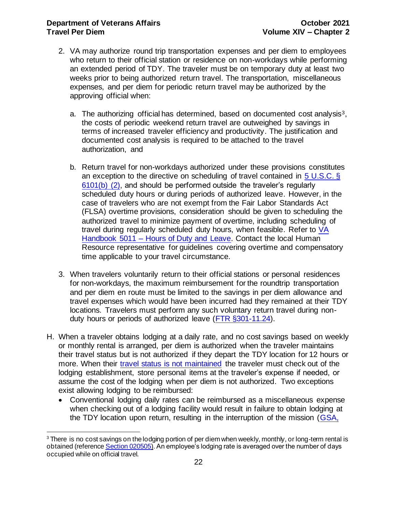#### **Department of Veterans Affairs CELL 2021 October** 2021 **Travel Per Diem Volume XIV – Chapter 2**

- 2. VA may authorize round trip transportation expenses and per diem to employees who return to their official station or residence on non-workdays while performing an extended period of TDY. The traveler must be on temporary duty at least two weeks prior to being authorized return travel. The transportation, miscellaneous expenses, and per diem for periodic return travel may be authorized by the approving official when:
	- a. The authorizing official has determined, based on documented cost analysis3, the costs of periodic weekend return travel are outweighed by savings in terms of increased traveler efficiency and productivity. The justification and documented cost analysis is required to be attached to the travel authorization, and
	- b. Return travel for non-workdays authorized under these provisions constitutes an exception to the directive on scheduling of travel contained in [5 U.S.C. §](http://uscode.house.gov/view.xhtml?req=granuleid:USC-prelim-title5-section6101&num=0&edition=prelim)  [6101\(b\) \(2\),](http://uscode.house.gov/view.xhtml?req=granuleid:USC-prelim-title5-section6101&num=0&edition=prelim) and should be performed outside the traveler's regularly scheduled duty hours or during periods of authorized leave. However, in the case of travelers who are not exempt from the Fair Labor Standards Act (FLSA) overtime provisions, consideration should be given to scheduling the authorized travel to minimize payment of overtime, including scheduling of travel during regularly scheduled duty hours, when feasible. Refer to [VA](http://vaww.va.gov/OHRM/Directives-Handbooks/Documents/5011.pdf)  Handbook 5011 – [Hours of Duty and Leave.](http://vaww.va.gov/OHRM/Directives-Handbooks/Documents/5011.pdf) Contact the local Human Resource representative for guidelines covering overtime and compensatory time applicable to your travel circumstance.
- 3. When travelers voluntarily return to their official stations or personal residences for non-workdays, the maximum reimbursement for the roundtrip transportation and per diem en route must be limited to the savings in per diem allowance and travel expenses which would have been incurred had they remained at their TDY locations. Travelers must perform any such voluntary return travel during nonduty hours or periods of authorized leave [\(FTR §301-11.24\)](http://www.gsa.gov/portal/ext/public/site/FTR/file/Chapter301p011.html/category/21868/).
- H. When a traveler obtains lodging at a daily rate, and no cost savings based on weekly or monthly rental is arranged, per diem is authorized when the traveler maintains their travel status but is not authorized if they depart the TDY location for 12 hours or more. When their [travel status is not maintained](#page-20-1) the traveler must check out of the lodging establishment, store personal items at the traveler's expense if needed, or assume the cost of the lodging when per diem is not authorized. Two exceptions exist allowing lodging to be reimbursed:
	- Conventional lodging daily rates can be reimbursed as a miscellaneous expense when checking out of a lodging facility would result in failure to obtain lodging at the TDY location upon return, resulting in the interruption of the mission [\(GSA,](http://www.gsbca.gsa.gov/travel/t1548218.txt)

 $3$  There is no cost savings on the lodging portion of per diem when weekly, monthly, or long-term rental is obtained (referenc[e Section 020505](#page-16-0)). An employee's lodging rate is averaged over the number of days occupied while on official travel.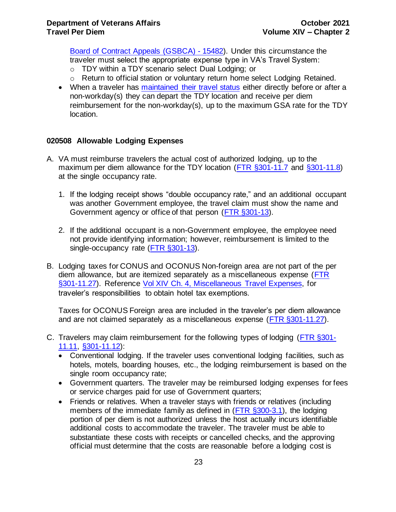[Board of Contract Appeals \(GSBCA\) -](http://www.gsbca.gsa.gov/travel/t1548218.txt) 15482). Under this circumstance the traveler must select the appropriate expense type in VA's Travel System:

- o TDY within a TDY scenario select Dual Lodging; or
- o Return to official station or voluntary return home select Lodging Retained.
- When a traveler has [maintained their travel status](#page-20-1) either directly before or after a non-workday(s) they can depart the TDY location and receive per diem reimbursement for the non-workday(s), up to the maximum GSA rate for the TDY location.

## <span id="page-23-0"></span>**020508 Allowable Lodging Expenses**

- A. VA must reimburse travelers the actual cost of authorized lodging, up to the maximum per diem allowance for the TDY location [\(FTR §301-11.7](http://www.gsa.gov/portal/ext/public/site/FTR/file/Chapter301p011.html/category/21868/) and [§301-11.8\)](http://www.gsa.gov/portal/ext/public/site/FTR/file/Chapter301p011.html/category/21868/) at the single occupancy rate.
	- 1. If the lodging receipt shows "double occupancy rate," and an additional occupant was another Government employee, the travel claim must show the name and Government agency or office of that person [\(FTR §301-13\)](http://www.gsa.gov/portal/ext/public/site/FTR/file/Chapter301p013.html/category/21868/).
	- 2. If the additional occupant is a non-Government employee, the employee need not provide identifying information; however, reimbursement is limited to the single-occupancy rate [\(FTR §301-13\)](http://www.gsa.gov/portal/ext/public/site/FTR/file/Chapter301p013.html/category/21868/).
- B. Lodging taxes for CONUS and OCONUS Non-foreign area are not part of the per diem allowance, but are itemized separately as a miscellaneous expense [\(FTR](http://www.gsa.gov/portal/ext/public/site/FTR/file/Chapter301p011.html/category/21868/)  [§301-11.27\)](http://www.gsa.gov/portal/ext/public/site/FTR/file/Chapter301p011.html/category/21868/). Reference [Vol XIV Ch. 4, Miscellaneous Travel Expenses,](http://www.va.gov/finance/docs/VA-FinancialPolicyVolumeXIVChapter04.pdf) for traveler's responsibilities to obtain hotel tax exemptions.

Taxes for OCONUS Foreign area are included in the traveler's per diem allowance and are not claimed separately as a miscellaneous expense [\(FTR §301-11.27\)](http://www.gsa.gov/portal/ext/public/site/FTR/file/Chapter301p011.html/category/21868/).

- C. Travelers may claim reimbursement for the following types of lodging [\(FTR §301-](http://www.gsa.gov/portal/ext/public/site/FTR/file/Chapter301p011.html/category/21868/) [11.11, §301-11.12\):](http://www.gsa.gov/portal/ext/public/site/FTR/file/Chapter301p011.html/category/21868/)
	- Conventional lodging. If the traveler uses conventional lodging facilities, such as hotels, motels, boarding houses, etc., the lodging reimbursement is based on the single room occupancy rate;
	- Government quarters. The traveler may be reimbursed lodging expenses for fees or service charges paid for use of Government quarters;
	- Friends or relatives. When a traveler stays with friends or relatives (including members of the immediate family as defined in [\(FTR §300-3.1\), the](http://www.gsa.gov/portal/ext/public/site/FTR/file/Chapter300p003.html/category/21867/) lodging portion of per diem is not authorized unless the host actually incurs identifiable additional costs to accommodate the traveler. The traveler must be able to substantiate these costs with receipts or cancelled checks, and the approving official must determine that the costs are reasonable before a lodging cost is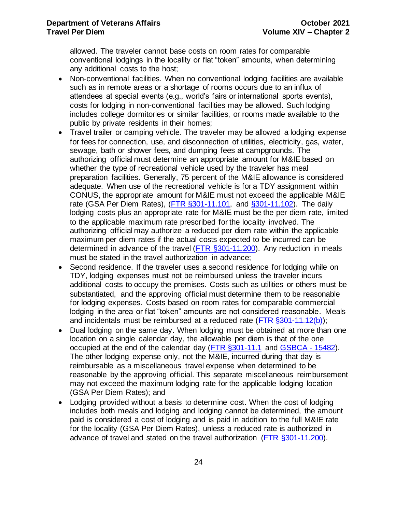allowed. The traveler cannot base costs on room rates for comparable conventional lodgings in the locality or flat "token" amounts, when determining any additional costs to the host;

- Non-conventional facilities. When no conventional lodging facilities are available such as in remote areas or a shortage of rooms occurs due to an influx of attendees at special events (e.g., world's fairs or international sports events), costs for lodging in non-conventional facilities may be allowed. Such lodging includes college dormitories or similar facilities, or rooms made available to the public by private residents in their homes;
- Travel trailer or camping vehicle. The traveler may be allowed a lodging expense for fees for connection, use, and disconnection of utilities, electricity, gas, water, sewage, bath or shower fees, and dumping fees at campgrounds. The authorizing official must determine an appropriate amount for M&IE based on whether the type of recreational vehicle used by the traveler has meal preparation facilities. Generally, 75 percent of the M&IE allowance is considered adequate. When use of the recreational vehicle is for a TDY assignment within CONUS, the appropriate amount for M&IE must not exceed the applicable M&IE rate [\(GSA Per Diem Rates\)](https://www.gsa.gov/portal/category/100120), [\(FTR §301-11.101,](http://www.gsa.gov/portal/ext/public/site/FTR/file/Chapter301p011.html/category/21868/) and [§301-11.102\).](http://www.gsa.gov/portal/ext/public/site/FTR/file/Chapter301p011.html/category/21868/) The daily lodging costs plus an appropriate rate for M&IE must be the per diem rate, limited to the applicable maximum rate prescribed for the locality involved. The authorizing official may authorize a reduced per diem rate within the applicable maximum per diem rates if the actual costs expected to be incurred can be determined in advance of the travel [\(FTR §301-11.200\).](http://www.gsa.gov/portal/ext/public/site/FTR/file/Chapter301p011.html/category/21868/) Any reduction in meals must be stated in the travel authorization in advance;
- Second residence. If the traveler uses a second residence for lodging while on TDY, lodging expenses must not be reimbursed unless the traveler incurs additional costs to occupy the premises. Costs such as utilities or others must be substantiated, and the approving official must determine them to be reasonable for lodging expenses. Costs based on room rates for comparable commercial lodging in the area or flat "token" amounts are not considered reasonable. Meals and incidentals must be reimbursed at a reduced rate [\(FTR §301-11.12\(b\)\)](http://www.gsa.gov/portal/ext/public/site/FTR/file/Chapter301p011.html/category/21868/);
- Dual lodging on the same day. When lodging must be obtained at more than one location on a single calendar day, the allowable per diem is that of the one occupied at the end of the calendar day [\(FTR §301-11.1](http://www.gsa.gov/portal/ext/public/site/FTR/file/Chapter301p011.html/category/21868/) and [GSBCA -](http://www.gsbca.gsa.gov/travel/t1548218.txt) 15482). The other lodging expense only, not the M&IE, incurred during that day is reimbursable as a miscellaneous travel expense when determined to be reasonable by the approving official. This separate miscellaneous reimbursement may not exceed the maximum lodging rate for the applicable lodging location [\(GSA Per Diem Rates\)](https://www.gsa.gov/portal/category/100120); and
- Lodging provided without a basis to determine cost. When the cost of lodging includes both meals and lodging and lodging cannot be determined, the amount paid is considered a cost of lodging and is paid in addition to the full M&IE rate for the locality [\(GSA Per Diem Rates\)](https://www.gsa.gov/portal/category/100120), unless a reduced rate is authorized in advance of travel and stated on the travel authorization [\(FTR §301-11.200\).](http://www.gsa.gov/portal/ext/public/site/FTR/file/Chapter301p011.html/category/21868/)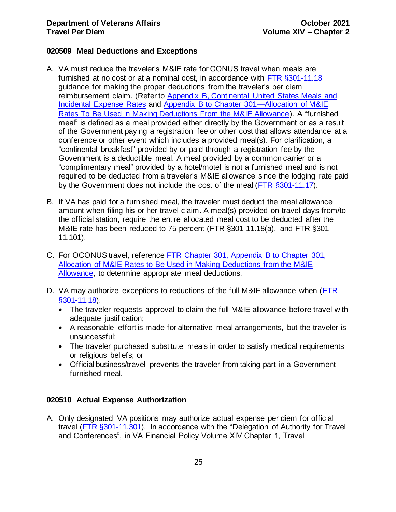## <span id="page-25-0"></span>**020509 Meal Deductions and Exceptions**

- A. VA must reduce the traveler's M&IE rate for CONUS travel when meals are furnished at no cost or at a nominal cost, in accordance with [FTR §301-11.18](http://www.gsa.gov/portal/ext/public/site/FTR/file/Chapter301p011.html/category/21868/) guidance for making the proper deductions from the traveler's per diem reimbursement claim. (Refer to [Appendix B, Continental United States Meals and](#page-35-0)  [Incidental Expense Rates](#page-35-0) and [Appendix B to Chapter 301—Allocation of M&IE](http://www.gsa.gov/portal/ext/public/site/FTR/file/Chapter301pAppB.html/category/21868/)  [Rates To Be Used in Making Deductions From the M&IE Allowance\)](http://www.gsa.gov/portal/ext/public/site/FTR/file/Chapter301pAppB.html/category/21868/). A "furnished meal" is defined as a meal provided either directly by the Government or as a result of the Government paying a registration fee or other cost that allows attendance at a conference or other event which includes a provided meal(s). For clarification, a "continental breakfast" provided by or paid through a registration fee by the Government is a deductible meal. A meal provided by a common carrier or a "complimentary meal" provided by a hotel/motel is not a furnished meal and is not required to be deducted from a traveler's M&IE allowance since the lodging rate paid by the Government does not include the cost of the meal [\(FTR §301-11.17\)](https://www.gsa.gov/portal/ext/public/site/FTR/file/Chapter301p011.html/category/21868/).
- B. If VA has paid for a furnished meal, the traveler must deduct the meal allowance amount when filing his or her travel claim. A meal(s) provided on travel days from/to the official station, require the entire allocated meal cost to be deducted after the M&IE rate has been reduced to 75 percent [\(FTR §301-11.18\(a\),](https://www.gsa.gov/portal/ext/public/site/FTR/file/Chapter301p011.html/category/21868/) and [FTR §301-](http://www.gsa.gov/portal/ext/public/site/FTR/file/Chapter301p011.html/category/21868/) [11.101\)](http://www.gsa.gov/portal/ext/public/site/FTR/file/Chapter301p011.html/category/21868/).
- C. For OCONUS travel, reference [FTR Chapter 301, Appendix B to Chapter 301,](http://www.gsa.gov/portal/ext/public/site/FTR/file/Chapter301pAppB.html/category/21868/)  [Allocation of M&IE Rates to Be Used in Making Deductions from the M&IE](http://www.gsa.gov/portal/ext/public/site/FTR/file/Chapter301pAppB.html/category/21868/)  [Allowance,](http://www.gsa.gov/portal/ext/public/site/FTR/file/Chapter301pAppB.html/category/21868/) to determine appropriate meal deductions.
- D. VA may authorize exceptions to reductions of the full M&IE allowance when (FTR [§301-11.18\)](http://www.gsa.gov/portal/ext/public/site/FTR/file/Chapter301p011.html/category/21868/):
	- The traveler requests approval to claim the full M&IE allowance before travel with adequate justification;
	- A reasonable effort is made for alternative meal arrangements, but the traveler is unsuccessful;
	- The traveler purchased substitute meals in order to satisfy medical requirements or religious beliefs; or
	- Official business/travel prevents the traveler from taking part in a Governmentfurnished meal.

## <span id="page-25-1"></span>**020510 Actual Expense Authorization**

A. Only designated VA positions may authorize actual expense per diem for official travel [\(FTR §301-11.301\).](http://www.gsa.gov/portal/ext/public/site/FTR/file/Chapter301p011.html/category/21868/) In accordance with the "Delegation of Authority for Travel and Conferences", in VA Financial Policy Volume XIV Chapter 1, Travel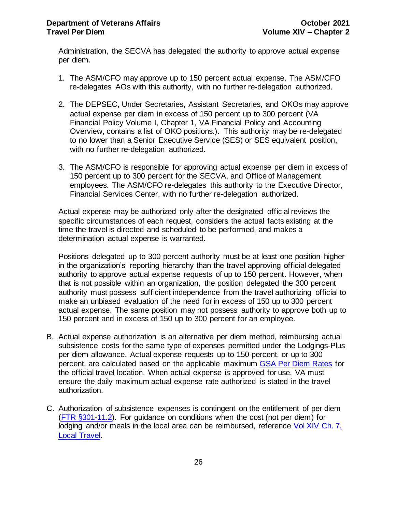Administration, the SECVA has delegated the authority to approve actual expense per diem.

- 1. The ASM/CFO may approve up to 150 percent actual expense. The ASM/CFO re-delegates AOs with this authority, with no further re-delegation authorized.
- 2. The DEPSEC, Under Secretaries, Assistant Secretaries, and OKOs may approve actual expense per diem in excess of 150 percent up to 300 percent (VA Financial Policy Volume I, Chapter 1, VA Financial Policy and Accounting Overview, contains a list of OKO positions.). This authority may be re-delegated to no lower than a Senior Executive Service (SES) or SES equivalent position, with no further re-delegation authorized.
- 3. The ASM/CFO is responsible for approving actual expense per diem in excess of 150 percent up to 300 percent for the SECVA, and Office of Management employees. The ASM/CFO re-delegates this authority to the Executive Director, Financial Services Center, with no further re-delegation authorized.

Actual expense may be authorized only after the designated official reviews the specific circumstances of each request, considers the actual facts existing at the time the travel is directed and scheduled to be performed, and makes a determination actual expense is warranted.

Positions delegated up to 300 percent authority must be at least one position higher in the organization's reporting hierarchy than the travel approving official delegated authority to approve actual expense requests of up to 150 percent. However, when that is not possible within an organization, the position delegated the 300 percent authority must possess sufficient independence from the travel authorizing official to make an unbiased evaluation of the need for in excess of 150 up to 300 percent actual expense. The same position may not possess authority to approve both up to 150 percent and in excess of 150 up to 300 percent for an employee.

- B. Actual expense authorization is an alternative per diem method, reimbursing actual subsistence costs for the same type of expenses permitted under the Lodgings-Plus per diem allowance. Actual expense requests up to 150 percent, or up to 300 percent, are calculated based on the applicable maximum [GSA Per Diem Rates](https://www.gsa.gov/portal/category/100120) for the official travel location. When actual expense is approved for use, VA must ensure the daily maximum actual expense rate authorized is stated in the travel authorization.
- C. Authorization of subsistence expenses is contingent on the entitlement of per diem [\(FTR §301-11.2\)](http://www.gsa.gov/portal/ext/public/site/FTR/file/Chapter301p011.html/category/21868/). For guidance on conditions when the cost (not per diem) for lodging and/or meals in the local area can be reimbursed, reference Vol XIV Ch. 7, [Local Travel.](https://www.va.gov/finance/docs/VA-FinancialPolicyVolumeXIVChapter07.pdf)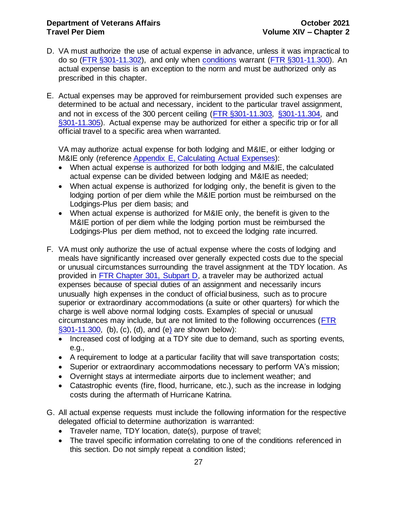- D. VA must authorize the use of actual expense in advance, unless it was impractical to do so [\(FTR §301-11.302\),](http://www.gsa.gov/portal/ext/public/site/FTR/file/Chapter301p011.html/category/21868/) and only when [conditions](#page-25-1) warrant [\(FTR §301-11.300\)](http://www.gsa.gov/portal/ext/public/site/FTR/file/Chapter301p011.html/category/21868/). An actual expense basis is an exception to the norm and must be authorized only as prescribed in this chapter.
- E. Actual expenses may be approved for reimbursement provided such expenses are determined to be actual and necessary, incident to the particular travel assignment, and not in excess of the 300 percent ceiling [\(FTR §301-11.303, §301-11.304,](http://www.gsa.gov/portal/ext/public/site/FTR/file/Chapter301p011.html/category/21868/) and [§301-11.305\).](http://www.gsa.gov/portal/ext/public/site/FTR/file/Chapter301p011.html/category/21868/) Actual expense may be authorized for either a specific trip or for all official travel to a specific area when warranted.

VA may authorize actual expense for both lodging and M&IE, or either lodging or M&IE only (reference [Appendix E, Calculating Actual Expenses\)](#page-38-0):

- When actual expense is authorized for both lodging and M&IE, the calculated actual expense can be divided between lodging and M&IE as needed;
- When actual expense is authorized for lodging only, the benefit is given to the lodging portion of per diem while the M&IE portion must be reimbursed on the Lodgings-Plus per diem basis; and
- When actual expense is authorized for M&IE only, the benefit is given to the M&IE portion of per diem while the lodging portion must be reimbursed the Lodgings-Plus per diem method, not to exceed the lodging rate incurred.
- F. VA must only authorize the use of actual expense where the costs of lodging and meals have significantly increased over generally expected costs due to the special or unusual circumstances surrounding the travel assignment at the TDY location. As provided in [FTR Chapter 301, Subpart D,](http://www.gsa.gov/portal/ext/public/site/FTR/file/Chapter301p011.html/category/21868/) a traveler may be authorized actual expenses because of special duties of an assignment and necessarily incurs unusually high expenses in the conduct of official business, such as to procure superior or extraordinary accommodations (a suite or other quarters) for which the charge is well above normal lodging costs. Examples of special or unusual circumstances may include, but are not limited to the following occurrences [\(FTR](http://www.gsa.gov/portal/ext/public/site/FTR/file/Chapter301p011.html/category/21868/#wp1089937)  [§301-11.300,](http://www.gsa.gov/portal/ext/public/site/FTR/file/Chapter301p011.html/category/21868/#wp1089937) (b), (c), (d), and (e) are shown below):
	- Increased cost of lodging at a TDY site due to demand, such as sporting events, e.g.,
	- A requirement to lodge at a particular facility that will save transportation costs;
	- Superior or extraordinary accommodations necessary to perform VA's mission;
	- Overnight stays at intermediate airports due to inclement weather; and
	- Catastrophic events (fire, flood, hurricane, etc.), such as the increase in lodging costs during the aftermath of Hurricane Katrina.
- G. All actual expense requests must include the following information for the respective delegated official to determine authorization is warranted:
	- Traveler name, TDY location, date(s), purpose of travel;
	- The travel specific information correlating to one of the [conditions](#page-25-1) referenced in this section. Do not simply repeat a condition listed;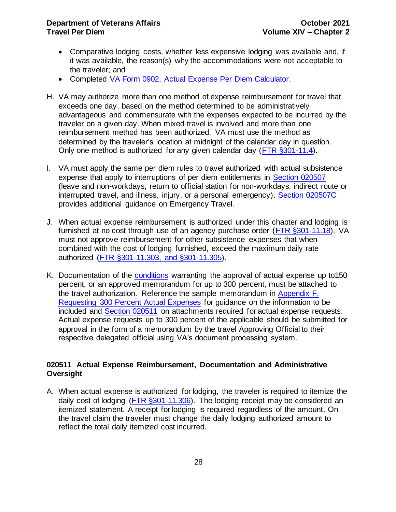### **Department of Veterans Affairs CELL 2021 Travel Per Diem Volume XIV – Chapter 2**

- Comparative lodging costs, whether less expensive lodging was available and, if it was available, the reason(s) why the accommodations were not acceptable to the traveler; and
- Completed VA Form 0902, [Actual Expense Per Diem Calculator.](http://vaww.va.gov/vaforms/va/pdf/VA0902.pdf)
- H. VA may authorize more than one method of expense reimbursement for travel that exceeds one day, based on the method determined to be administratively advantageous and commensurate with the expenses expected to be incurred by the traveler on a given day. When mixed travel is involved and more than one reimbursement method has been authorized, VA must use the method as determined by the traveler's location at midnight of the calendar day in question. Only one method is authorized for any given calendar day [\(FTR §301-11.4\)](http://www.gsa.gov/portal/ext/public/site/FTR/file/Chapter301p011.html/category/21868/).
- I. VA must apply the same per diem rules to travel authorized with actual subsistence expense that apply to interruptions of per diem entitlements in Section 020507 (leave and non-workdays, return to official station for non-workdays, indirect route or interrupted travel, and illness, injury, or a personal emergency). Section 020507C provides additional guidance on Emergency Travel.
- J. When actual expense reimbursement is authorized under this chapter and lodging is furnished at no cost through use of an agency purchase order [\(FTR §301-11.18\)](http://www.gsa.gov/portal/ext/public/site/FTR/file/Chapter301p011.html/category/21868/), VA must not approve reimbursement for other subsistence expenses that when combined with the cost of lodging furnished, exceed the maximum daily rate authorized [\(FTR §301-11.303, and §301-11.305\).](http://www.gsa.gov/portal/ext/public/site/FTR/file/Chapter301p011.html/category/21868/)
- K. Documentation of the [conditions](#page-25-1) warranting the approval of actual expense up to150 percent, or an approved memorandum for up to 300 percent, must be attached to the travel authorization. Reference the sample memorandum in [Appendix F,](#page-40-0)  [Requesting 300 Percent Actual Expenses](#page-40-0) for guidance on the information to be included and Section 020511 on attachments required for actual expense requests. Actual expense requests up to 300 percent of the applicable should be submitted for approval in the form of a memorandum by the travel Approving Official to their respective delegated official using VA's document processing system.

## <span id="page-28-0"></span>**020511 Actual Expense Reimbursement, Documentation and Administrative Oversight**

A. When actual expense is authorized for lodging, the traveler is required to itemize the daily cost of lodging [\(FTR §301-11.306\).](http://www.gsa.gov/portal/ext/public/site/FTR/file/Chapter301p011.html/category/21868/) The lodging receipt may be considered an itemized statement. A receipt for lodging is required regardless of the amount. On the travel claim the traveler must change the daily lodging authorized amount to reflect the total daily itemized cost incurred.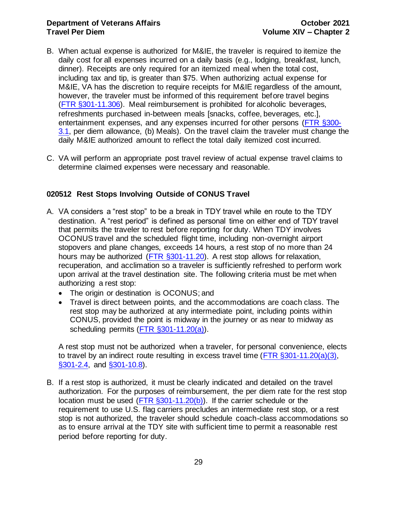#### **Department of Veterans Affairs CELL 2021 Travel Per Diem Volume XIV – Chapter 2**

- B. When actual expense is authorized for M&IE, the traveler is required to itemize the daily cost for all expenses incurred on a daily basis (e.g., lodging, breakfast, lunch, dinner). Receipts are only required for an itemized meal when the total cost, including tax and tip, is greater than \$75. When authorizing actual expense for M&IE, VA has the discretion to require receipts for M&IE regardless of the amount, however, the traveler must be informed of this requirement before travel begins [\(FTR §301-11.306\).](http://www.gsa.gov/portal/ext/public/site/FTR/file/Chapter301p011.html/category/21868/) Meal reimbursement is prohibited for alcoholic beverages, refreshments purchased in-between meals [snacks, coffee, beverages, etc.], entertainment expenses, and any expenses incurred for other persons (FTR [§300-](https://www.gsa.gov/portal/ext/public/site/FTR/file/Chapter300p003.html/category/21867/) [3.1,](https://www.gsa.gov/portal/ext/public/site/FTR/file/Chapter300p003.html/category/21867/) per diem allowance, (b) Meals). On the travel claim the traveler must change the daily M&IE authorized amount to reflect the total daily itemized cost incurred.
- C. VA will perform an appropriate post travel review of actual expense travel claims to determine claimed expenses were necessary and reasonable.

## <span id="page-29-0"></span>**020512 Rest Stops Involving Outside of CONUS Travel**

- A. VA considers a "rest stop" to be a break in TDY travel while en route to the TDY destination. A "rest period" is defined as personal time on either end of TDY travel that permits the traveler to rest before reporting for duty. When TDY involves OCONUS travel and the scheduled flight time, including non-overnight airport stopovers and plane changes, exceeds 14 hours, a rest stop of no more than 24 hours may be authorized [\(FTR §301-11.20\)](http://www.gsa.gov/portal/ext/public/site/FTR/file/Chapter301p011.html/category/21868/). A rest stop allows for relaxation, recuperation, and acclimation so a traveler is sufficiently refreshed to perform work upon arrival at the travel destination site. The following criteria must be met when authorizing a rest stop:
	- The origin or destination is OCONUS; and
	- Travel is direct between points, and the accommodations are coach class. The rest stop may be authorized at any intermediate point, including points within CONUS, provided the point is midway in the journey or as near to midway as scheduling permits [\(FTR §301-11.20\(a\)\).](http://www.gsa.gov/portal/ext/public/site/FTR/file/Chapter301p011.html/category/21868/)

A rest stop must not be authorized when a traveler, for personal convenience, elects to travel by an indirect route resulting in excess travel time (FTR  $\S 301-11.20(a)(3)$ , [§301-2.4,](http://www.gsa.gov/portal/ext/public/site/FTR/file/Chapter301p002.html/category/21868/) and [§301-10.8\)](http://www.gsa.gov/portal/ext/public/site/FTR/file/Chapter301p010.html/category/21868/).

B. If a rest stop is authorized, it must be clearly indicated and detailed on the travel authorization. For the purposes of reimbursement, the per diem rate for the rest stop location must be used [\(FTR §301-11.20\(b\)\)](http://www.gsa.gov/portal/ext/public/site/FTR/file/Chapter301p011.html/category/21868/). If the carrier schedule or the requirement to use U.S. flag carriers precludes an intermediate rest stop, or a rest stop is not authorized, the traveler should schedule coach-class accommodations so as to ensure arrival at the TDY site with sufficient time to permit a reasonable rest period before reporting for duty.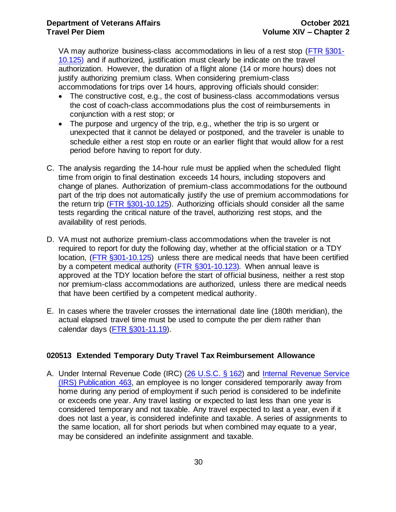VA may authorize business-class accommodations in lieu of a rest stop [\(FTR §301-](http://www.gsa.gov/portal/ext/public/site/FTR/file/Chapter301p010.html/category/21868/) [10.125\)](http://www.gsa.gov/portal/ext/public/site/FTR/file/Chapter301p010.html/category/21868/) and if authorized, justification must clearly be indicate on the travel authorization. However, the duration of a flight alone (14 or more hours) does not justify authorizing premium class. When considering premium-class accommodations for trips over 14 hours, approving officials should consider:

- The constructive cost, e.g., the cost of business-class accommodations versus the cost of coach-class accommodations plus the cost of reimbursements in conjunction with a rest stop; or
- The purpose and urgency of the trip, e.g., whether the trip is so urgent or unexpected that it cannot be delayed or postponed, and the traveler is unable to schedule either a rest stop en route or an earlier flight that would allow for a rest period before having to report for duty.
- C. The analysis regarding the 14-hour rule must be applied when the scheduled flight time from origin to final destination exceeds 14 hours, including stopovers and change of planes. Authorization of premium-class accommodations for the outbound part of the trip does not automatically justify the use of premium accommodations for the return trip [\(FTR §301-10.125\)](http://www.gsa.gov/portal/ext/public/site/FTR/file/Chapter301p010.html/category/21868/). Authorizing officials should consider all the same tests regarding the critical nature of the travel, authorizing rest stops, and the availability of rest periods.
- D. VA must not authorize premium-class accommodations when the traveler is not required to report for duty the following day, whether at the official station or a TDY location, [\(FTR §301-10.125\)](http://www.gsa.gov/portal/ext/public/site/FTR/file/Chapter301p010.html/category/21868/) unless there are medical needs that have been certified by a competent medical authority (FTR [§301-10.123\)](http://www.gsa.gov/portal/ext/public/site/FTR/file/Chapter301p010.html/category/21868/)*.* When annual leave is approved at the TDY location before the start of official business, neither a rest stop nor premium-class accommodations are authorized, unless there are medical needs that have been certified by a competent medical authority.
- <span id="page-30-1"></span>E. In cases where the traveler crosses the international date line (180th meridian), the actual elapsed travel time must be used to compute the per diem rather than calendar days [\(FTR §301-11.19\).](http://www.gsa.gov/portal/ext/public/site/FTR/file/Chapter301p011.html/category/21868/)

## <span id="page-30-0"></span>**020513 Extended Temporary Duty Travel Tax Reimbursement Allowance**

A. Under Internal Revenue Code (IRC) (26 [U.S.C. §](https://www.gpo.gov/fdsys/pkg/USCODE-2011-title26/pdf/USCODE-2011-title26-subtitleA-chap1-subchapB-partVI-sec162.pdf) 162) and [Internal Revenue Service](https://www.irs.gov/uac/about-publication-463)  [\(IRS\) Publication 463,](https://www.irs.gov/uac/about-publication-463) an employee is no longer considered temporarily away from home during any period of employment if such period is considered to be indefinite or exceeds one year. Any travel lasting or expected to last less than one year is considered temporary and not taxable. Any travel expected to last a year, even if it does not last a year, is considered indefinite and taxable. A series of assignments to the same location, all for short periods but when combined may equate to a year, may be considered an indefinite assignment and taxable.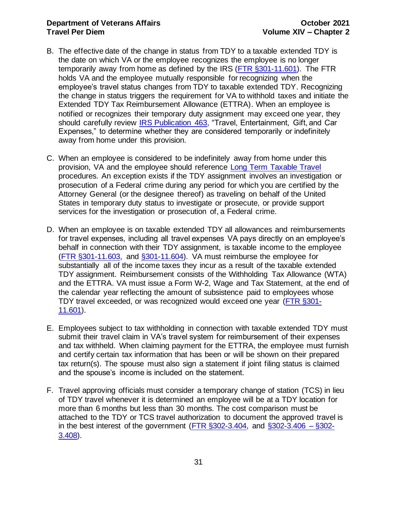#### **Department of Veterans Affairs CELL 2021 Travel Per Diem Volume XIV – Chapter 2**

- B. The effective date of the change in status from TDY to a taxable extended TDY is the date on which VA or the employee recognizes the employee is no longer temporarily away from home as defined by the IRS [\(FTR §301-11.601\)](http://www.gsa.gov/portal/ext/public/site/FTR/file/Chapter301p011.html/category/21868/). The FTR holds VA and the employee mutually responsible for recognizing when the employee's travel status changes from TDY to taxable extended TDY. Recognizing the change in status triggers the requirement for VA to withhold taxes and initiate the Extended TDY Tax Reimbursement Allowance (ETTRA). When an employee is notified or recognizes their temporary duty assignment may exceed one year, they should carefully review [IRS Publication 463,](https://www.irs.gov/uac/about-publication-463) "Travel, Entertainment, Gift, and Car Expenses," to determine whether they are considered temporarily or indefinitely away from home under this provision.
- C. When an employee is considered to be indefinitely away from home under this provision, VA and the employee should reference [Long Term Taxable Travel](http://vaww.fscdirect.fsc.va.gov/docs/Travel/eGov/ETS/LongTermTaxableTravel.pdf) procedures. An exception exists if the TDY assignment involves an investigation or prosecution of a Federal crime during any period for which you are certified by the Attorney General (or the designee thereof) as traveling on behalf of the United States in temporary duty status to investigate or prosecute, or provide support services for the investigation or prosecution of, a Federal crime.
- D. When an employee is on taxable extended TDY all allowances and reimbursements for travel expenses, including all travel expenses VA pays directly on an employee's behalf in connection with their TDY assignment, is taxable income to the employee [\(FTR §301-11.603, and](http://www.gsa.gov/portal/ext/public/site/FTR/file/Chapter301p011.html/category/21868/) §301-11.604). VA must reimburse the employee for substantially all of the income taxes they incur as a result of the taxable extended TDY assignment. Reimbursement consists of the Withholding Tax Allowance (WTA) and the ETTRA. VA must issue a Form W-2, Wage and Tax Statement, at the end of the calendar year reflecting the amount of subsistence paid to employees whose TDY travel exceeded, or was recognized would exceed one year [\(FTR §301-](http://www.gsa.gov/portal/ext/public/site/FTR/file/Chapter301p011.html/category/21868/) [11.601\)](http://www.gsa.gov/portal/ext/public/site/FTR/file/Chapter301p011.html/category/21868/).
- E. Employees subject to tax withholding in connection with taxable extended TDY must submit their travel claim in VA's travel system for reimbursement of their expenses and tax withheld. When claiming payment for the ETTRA, the employee must furnish and certify certain tax information that has been or will be shown on their prepared tax return(s). The spouse must also sign a statement if joint filing status is claimed and the spouse's income is included on the statement.
- F. Travel approving officials must consider a temporary change of station (TCS) in lieu of TDY travel whenever it is determined an employee will be at a TDY location for more than 6 months but less than 30 months. The cost comparison must be attached to the TDY or TCS travel authorization to document the approved travel is in the best interest of the government (FTR  $\S 302-3.404$ , and  $\S 302-3.406 - \S 302-$ [3.408\)](http://www.gsa.gov/portal/ext/public/site/FTR/file/Chapter302p003.html/category/21869/).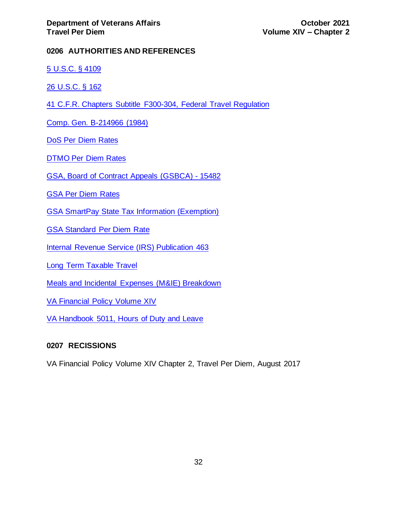## <span id="page-32-0"></span>**0206 AUTHORITIES AND REFERENCES**

[5 U.S.C. § 4109](https://www.gpo.gov/fdsys/pkg/USCODE-2011-title5/pdf/USCODE-2011-title5-partIII-subpartC-chap41.pdf)

[26 U.S.C. § 162](https://www.gpo.gov/fdsys/pkg/USCODE-2011-title26/pdf/USCODE-2011-title26-subtitleA-chap1-subchapB-partVI-sec162.pdf)

41 C.F.R. Chapters [Subtitle](https://ecfr.io/Title-41/subtitleF) F300-304, Federal Travel Regulation

[Comp. Gen. B-214966 \(1984\)](http://archive.gao.gov/lglpdf12/125906.pdf)

[DoS Per Diem Rates](https://aoprals.state.gov/content.asp?content_id=184&menu_id=78)

[DTMO Per Diem Rates](http://www.defensetravel.dod.mil/site/perdiemCalc.cfm)

[GSA, Board of Contract Appeals \(GSBCA\) -](http://www.gsbca.gsa.gov/travel/t1548218.txt) 15482

[GSA Per Diem Rates](http://www.gsa.gov/portal/category/100120)

[GSA SmartPay State Tax Information \(Exemption\)](https://smartpay.gsa.gov/node/302)

[GSA Standard Per Diem Rate](http://www.gsa.gov/portal/content/142071)

[Internal Revenue Service \(IRS\) Publication 463](https://www.irs.gov/uac/about-publication-463)

[Long Term Taxable Travel](http://vaww.fscdirect.fsc.va.gov/docs/Travel/eGov/ETS/LongTermTaxableTravel.pdf)

[Meals and Incidental Expenses \(M&IE\) Breakdown](https://www.gsa.gov/portal/content/101518)

[VA Financial Policy Volume XIV](https://www.va.gov/finance/policy/pubs/volumeXIV.asp)

[VA Handbook 5011, Hours of Duty and Leave](http://vaww.va.gov/OHRM/Directives-Handbooks/Documents/5011.pdf)

#### <span id="page-32-1"></span>**0207 RECISSIONS**

VA Financial Policy Volume XIV Chapter 2, Travel Per Diem, August 2017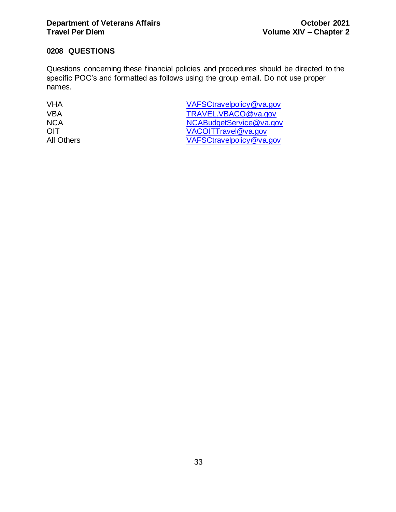## <span id="page-33-0"></span>**0208 QUESTIONS**

Questions concerning these financial policies and procedures should be directed to the specific POC's and formatted as follows using the group email. Do not use proper names.

VHA [VAFSCtravelpolicy@va.gov](mailto:VAFSCtravelpolicy@va.gov) VBA [TRAVEL.VBACO@va.gov](mailto:TRAVEL.VBACO@va.gov) NCA [NCABudgetService@va.gov](mailto:NCABudgetService@va.gov) OIT [VACOITTravel@va.gov](mailto:vacoittravel@va.gov) All Others [VAFSCtravelpolicy@va.gov](mailto:VAFSCtravelpolicy@va.gov)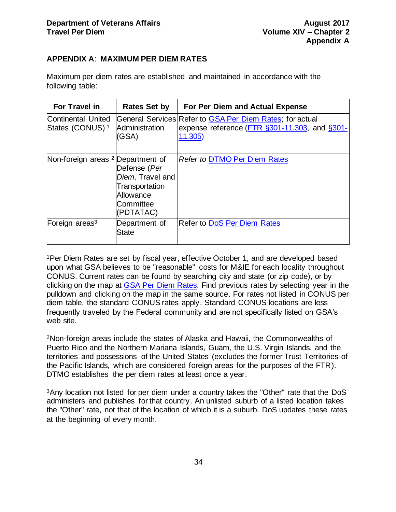## <span id="page-34-0"></span>**APPENDIX A**: **MAXIMUM PER DIEM RATES**

Maximum per diem rates are established and maintained in accordance with the following table:

| For Travel in                                            | <b>Rates Set by</b>                                                                       | For Per Diem and Actual Expense                                                                                      |
|----------------------------------------------------------|-------------------------------------------------------------------------------------------|----------------------------------------------------------------------------------------------------------------------|
| <b>Continental United</b><br>States (CONUS) <sup>1</sup> | Administration<br>(GSA)                                                                   | General Services Refer to GSA Per Diem Rates; for actual<br>expense reference (FTR §301-11.303, and §301-<br>11.305) |
| Non-foreign areas <sup>2</sup> Department of             | Defense (Per<br>Diem, Travel and<br>Transportation<br>Allowance<br>Committee<br>(PDTATAC) | <b>Refer to DTMO Per Diem Rates</b>                                                                                  |
| Foreign areas <sup>3</sup>                               | Department of<br>State                                                                    | <b>Refer to DoS Per Diem Rates</b>                                                                                   |

<sup>1</sup>Per Diem Rates are set by fiscal year, effective October 1, and are developed based upon what GSA believes to be "reasonable" costs for M&IE for each locality throughout CONUS. Current rates can be found by searching city and state (or zip code), or by clicking on the map at [GSA Per Diem Rates.](https://www.gsa.gov/portal/category/100120) Find previous rates by selecting year in the pulldown and clicking on the map in the same source. For rates not listed in CONUS per diem table, the standard CONUS rates apply. Standard CONUS locations are less frequently traveled by the Federal community and are not specifically listed on GSA's web site.

<sup>2</sup>Non-foreign areas include the states of Alaska and Hawaii, the Commonwealths of Puerto Rico and the Northern Mariana Islands, Guam, the U.S. Virgin Islands, and the territories and possessions of the United States (excludes the former Trust Territories of the Pacific Islands, which are considered foreign areas for the purposes of the FTR). DTMO establishes the per diem rates at least once a year.

<sup>3</sup>Any location not listed for per diem under a country takes the "Other" rate that the DoS administers and publishes for that country. An unlisted suburb of a listed location takes the "Other" rate, not that of the location of which it is a suburb. DoS updates these rates at the beginning of every month.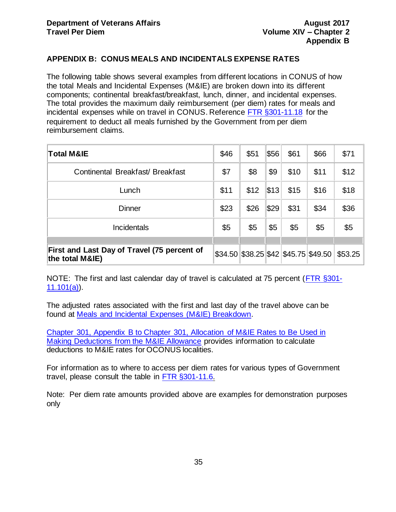## <span id="page-35-0"></span>**APPENDIX B: CONUS MEALS AND INCIDENTALS EXPENSE RATES**

The following table shows several examples from different locations in CONUS of how the total Meals and Incidental Expenses (M&IE) are broken down into its different components; continental breakfast/breakfast, lunch, dinner, and incidental expenses. The total provides the maximum daily reimbursement (per diem) rates for meals and incidental expenses while on travel in CONUS. Reference [FTR §301-11.18](http://www.gsa.gov/portal/ext/public/site/FTR/file/Chapter301p011.html/category/21868/) for the requirement to deduct all meals furnished by the Government from per diem reimbursement claims.

| <b>Total M&amp;IE</b>                                          | \$46 | \$51 | \$56 | \$61 | \$66                                      | \$71    |
|----------------------------------------------------------------|------|------|------|------|-------------------------------------------|---------|
| Continental Breakfast/ Breakfast                               | \$7  | \$8  | \$9  | \$10 | \$11                                      | \$12    |
| Lunch                                                          | \$11 | \$12 | \$13 | \$15 | \$16                                      | \$18    |
| <b>Dinner</b>                                                  | \$23 | \$26 | \$29 | \$31 | \$34                                      | \$36    |
| <b>Incidentals</b>                                             | \$5  | \$5  | \$5  | \$5  | \$5                                       | \$5     |
|                                                                |      |      |      |      |                                           |         |
| First and Last Day of Travel (75 percent of<br>the total M&IE) |      |      |      |      | $$34.50$ $$38.25$ $$42$ $$45.75$ $$49.50$ | \$53.25 |

NOTE: The first and last calendar day of travel is calculated at 75 percent [\(FTR §301-](http://www.gsa.gov/portal/ext/public/site/FTR/file/Chapter301p011.html/category/21868/)  $11.101(a)$ .

The adjusted rates associated with the first and last day of the travel above can be found at [Meals and Incidental Expenses \(M&IE\) Breakdown.](https://www.gsa.gov/portal/content/101518)

[Chapter 301, Appendix B to Chapter 301, Allocation of M&IE Rates to Be Used in](http://www.gsa.gov/portal/ext/public/site/FTR/file/Chapter301pAppB.html/category/21868/)  [Making Deductions from the M&IE Allowance](http://www.gsa.gov/portal/ext/public/site/FTR/file/Chapter301pAppB.html/category/21868/) provides information to calculate deductions to M&IE rates for OCONUS localities.

For information as to where to access per diem rates for various types of Government travel, please consult the table in [FTR §301-11.6.](http://www.gsa.gov/portal/ext/public/site/FTR/file/Chapter301p011.html/category/21868/)

Note: Per diem rate amounts provided above are examples for demonstration purposes only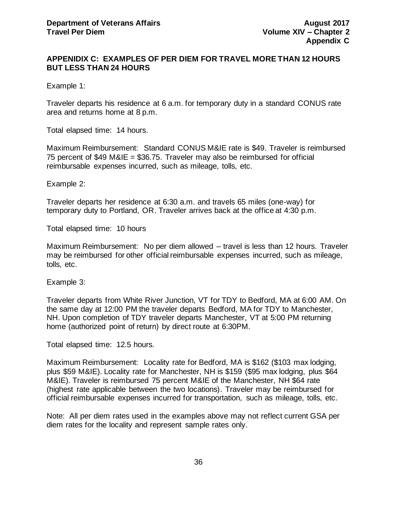### <span id="page-36-0"></span>**APPENIDIX C: EXAMPLES OF PER DIEM FOR TRAVEL MORE THAN 12 HOURS BUT LESS THAN 24 HOURS**

Example 1:

Traveler departs his residence at 6 a.m. for temporary duty in a standard CONUS rate area and returns home at 8 p.m.

Total elapsed time: 14 hours.

Maximum Reimbursement: Standard CONUS M&IE rate is \$49. Traveler is reimbursed 75 percent of \$49 M&IE = \$36.75. Traveler may also be reimbursed for official reimbursable expenses incurred, such as mileage, tolls, etc.

Example 2:

Traveler departs her residence at 6:30 a.m. and travels 65 miles (one-way) for temporary duty to Portland, OR. Traveler arrives back at the office at 4:30 p.m.

Total elapsed time: 10 hours

Maximum Reimbursement: No per diem allowed – travel is less than 12 hours. Traveler may be reimbursed for other official reimbursable expenses incurred, such as mileage, tolls, etc.

Example 3:

Traveler departs from White River Junction, VT for TDY to Bedford, MA at 6:00 AM. On the same day at 12:00 PM the traveler departs Bedford, MA for TDY to Manchester, NH. Upon completion of TDY traveler departs Manchester, VT at 5:00 PM returning home (authorized point of return) by direct route at 6:30PM.

Total elapsed time: 12.5 hours.

Maximum Reimbursement: Locality rate for Bedford, MA is \$162 (\$103 max lodging, plus \$59 M&IE). Locality rate for Manchester, NH is \$159 (\$95 max lodging, plus \$64 M&IE). Traveler is reimbursed 75 percent M&IE of the Manchester, NH \$64 rate (highest rate applicable between the two locations). Traveler may be reimbursed for official reimbursable expenses incurred for transportation, such as mileage, tolls, etc.

Note: All per diem rates used in the examples above may not reflect current GSA per diem rates for the locality and represent sample rates only.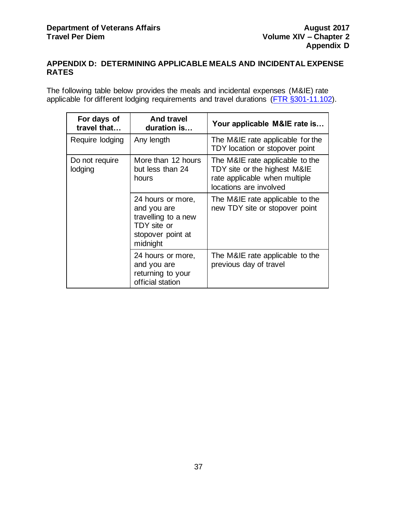## <span id="page-37-0"></span>**APPENDIX D: DETERMINING APPLICABLE MEALS AND INCIDENTAL EXPENSE RATES**

The following table below provides the meals and incidental expenses (M&IE) rate applicable for different lodging requirements and travel durations [\(FTR §301-11.102\).](http://www.gsa.gov/portal/ext/public/site/FTR/file/Chapter301p011.html/category/21868/)

| For days of<br>travel that | <b>And travel</b><br>duration is                                                                        | Your applicable M&IE rate is                                                                                               |
|----------------------------|---------------------------------------------------------------------------------------------------------|----------------------------------------------------------------------------------------------------------------------------|
| Require lodging            | Any length                                                                                              | The M&IE rate applicable for the<br>TDY location or stopover point                                                         |
| Do not require<br>lodging  | More than 12 hours<br>but less than 24<br>hours                                                         | The M&IE rate applicable to the<br>TDY site or the highest M&IE<br>rate applicable when multiple<br>locations are involved |
|                            | 24 hours or more,<br>and you are<br>travelling to a new<br>TDY site or<br>stopover point at<br>midnight | The M&IE rate applicable to the<br>new TDY site or stopover point                                                          |
|                            | 24 hours or more,<br>and you are<br>returning to your<br>official station                               | The M&IE rate applicable to the<br>previous day of travel                                                                  |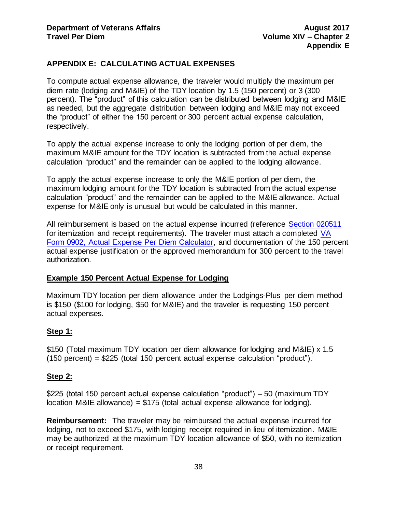## <span id="page-38-0"></span>**APPENDIX E: CALCULATING ACTUAL EXPENSES**

To compute actual expense allowance, the traveler would multiply the maximum per diem rate (lodging and M&IE) of the TDY location by 1.5 (150 percent) or 3 (300 percent). The "product" of this calculation can be distributed between lodging and M&IE as needed, but the aggregate distribution between lodging and M&IE may not exceed the "product" of either the 150 percent or 300 percent actual expense calculation, respectively.

To apply the actual expense increase to only the lodging portion of per diem, the maximum M&IE amount for the TDY location is subtracted from the actual expense calculation "product" and the remainder can be applied to the lodging allowance.

To apply the actual expense increase to only the M&IE portion of per diem, the maximum lodging amount for the TDY location is subtracted from the actual expense calculation "product" and the remainder can be applied to the M&IE allowance. Actual expense for M&IE only is unusual but would be calculated in this manner.

All reimbursement is based on the actual expense incurred (reference Section 020511 for itemization and receipt requirements). The traveler must attach a completed [VA](http://vaww.va.gov/vaforms/va/pdf/VA0902.pdf)  [Form 0902, Actual Expense Per Diem Calculator,](http://vaww.va.gov/vaforms/va/pdf/VA0902.pdf) and documentation of the 150 percent actual expense justification or the approved memorandum for 300 percent to the travel authorization.

#### **Example 150 Percent Actual Expense for Lodging**

Maximum TDY location per diem allowance under the Lodgings-Plus per diem method is \$150 (\$100 for lodging, \$50 for M&IE) and the traveler is requesting 150 percent actual expenses.

#### **Step 1:**

\$150 (Total maximum TDY location per diem allowance for lodging and M&IE) x 1.5 (150 percent) = \$225 (total 150 percent actual expense calculation "product").

#### **Step 2:**

\$225 (total 150 percent actual expense calculation "product") – 50 (maximum TDY location M&IE allowance) = \$175 (total actual expense allowance for lodging).

**Reimbursement:** The traveler may be reimbursed the actual expense incurred for lodging, not to exceed \$175, with lodging receipt required in lieu of itemization. M&IE may be authorized at the maximum TDY location allowance of \$50, with no itemization or receipt requirement.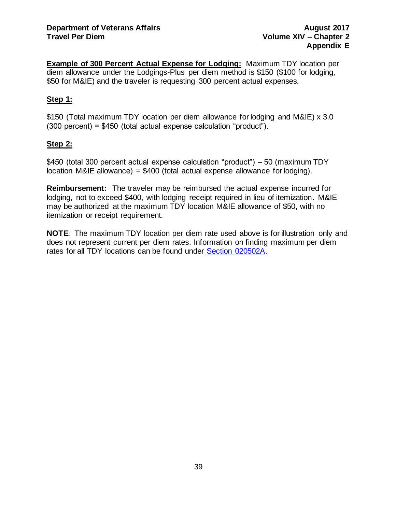**Example of 300 Percent Actual Expense for Lodging:** Maximum TDY location per diem allowance under the Lodgings-Plus per diem method is \$150 (\$100 for lodging, \$50 for M&IE) and the traveler is requesting 300 percent actual expenses.

## **Step 1:**

\$150 (Total maximum TDY location per diem allowance for lodging and M&IE) x 3.0 (300 percent) = \$450 (total actual expense calculation "product").

## **Step 2:**

\$450 (total 300 percent actual expense calculation "product") – 50 (maximum TDY location M&IE allowance) =  $$400$  (total actual expense allowance for lodging).

**Reimbursement:** The traveler may be reimbursed the actual expense incurred for lodging, not to exceed \$400, with lodging receipt required in lieu of itemization. M&IE may be authorized at the maximum TDY location M&IE allowance of \$50, with no itemization or receipt requirement.

**NOTE**: The maximum TDY location per diem rate used above is for illustration only and does not represent current per diem rates. Information on finding maximum per diem rates for all TDY locations can be found under [Section 020502A.](#page-13-1)